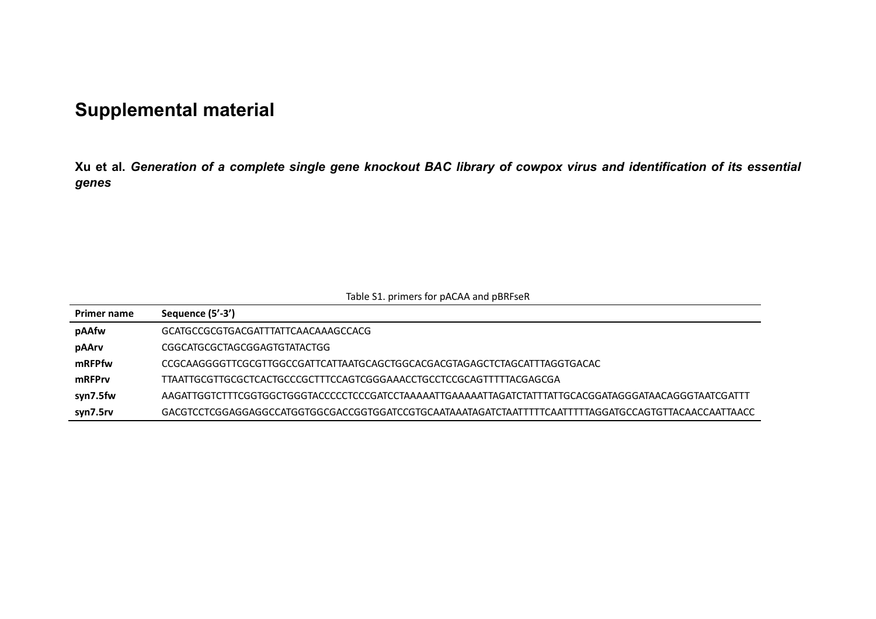## **Supplemental material**

**Xu et al.** *Generation of a complete single gene knockout BAC library of cowpox virus and identification of its essential genes*

| Table S1. primers for pACAA and pBRFseR |  |
|-----------------------------------------|--|
|                                         |  |

| <b>Primer name</b> | Sequence (5'-3')                                                          |
|--------------------|---------------------------------------------------------------------------|
| pAAfw              | GCATGCCGCGTGACGATTTATTCAACAAAGCCACG                                       |
| pAArv              | CGGCATGCGCTAGCGGAGTGTATACTGG                                              |
| mRFPfw             | CCGCAAGGGGTTCGCGTTGGCCGATTCATTAATGCAGCTGGCACGACGTAGAGCTCTAGCATTTAGGTGACAC |
| mRFPrv             | TTAATTGCGTTGCGCTCACTGCCCGCTTTCCAGTCGGGAAACCTGCCTCCGCAGTTTTTACGAGCGA       |
| syn7.5fw           |                                                                           |
| syn7.5rv           |                                                                           |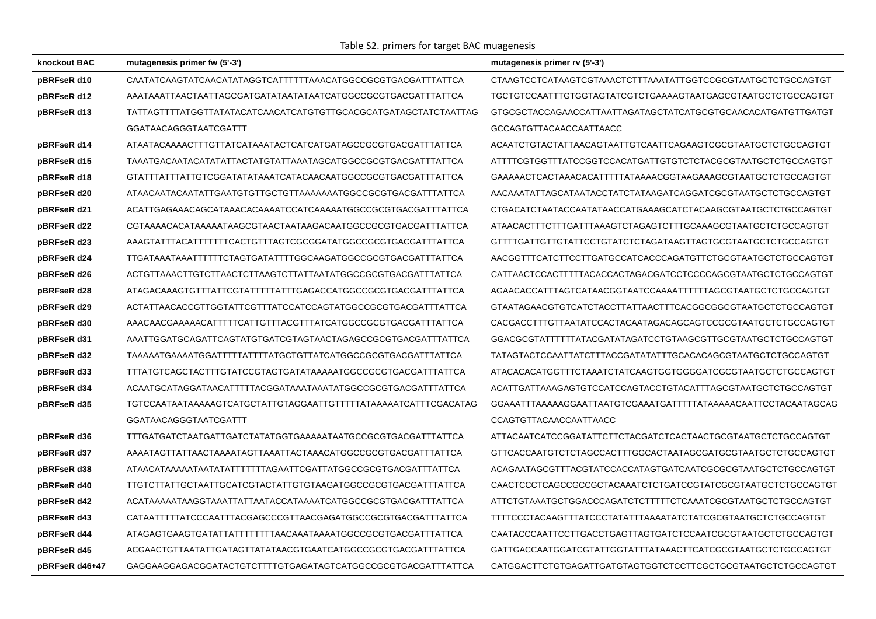Table S2. primers for target BAC muagenesis

| knockout BAC   | mutagenesis primer fw (5'-3')                                   | mutagenesis primer rv (5'-3')                                  |
|----------------|-----------------------------------------------------------------|----------------------------------------------------------------|
| pBRFseR d10    | CAATATCAAGTATCAACATATAGGTCATTTTTTAAACATGGCCGCGTGACGATTTATTCA    | CTAAGTCCTCATAAGTCGTAAACTCTTTAAATATTGGTCCGCGTAATGCTCTGCCAGTGT   |
| pBRFseR d12    | AAATAAATTAACTAATTAGCGATGATATAATATAATCATGGCCGCGTGACGATTTATTCA    | TGCTGTCCAATTTGTGGTAGTATCGTCTGAAAAGTAATGAGCGTAATGCTCTGCCAGTGT   |
| pBRFseR d13    | TATTAGTTTTATGGTTATATACATCAACATCATGTGTTGCACGCATGATAGCTATCTAATTAG | GTGCGCTACCAGAACCATTAATTAGATAGCTATCATGCGTGCAACACATGATGTTGATGT   |
|                | GGATAACAGGGTAATCGATTT                                           | GCCAGTGTTACAACCAATTAACC                                        |
| pBRFseR d14    | ATAATACAAAACTTTGTTATCATAAATACTCATCATGATAGCCGCGTGACGATTTATTCA    | ACAATCTGTACTATTAACAGTAATTGTCAATTCAGAAGTCGCGTAATGCTCTGCCAGTGT   |
| pBRFseR d15    | TAAATGACAATACATATATTACTATGTATTAAATAGCATGGCCGCGTGACGATTTATTCA    | ATTTTCGTGGTTTATCCGGTCCACATGATTGTGTCTCTACGCGTAATGCTCTGCCAGTGT   |
| pBRFseR d18    | GTATTTATTTATTGTCGGATATATAAATCATACAACAATGGCCGCGTGACGATTTATTCA    | GAAAAACTCACTAAACACATTTTTATAAAACGGTAAGAAAGCGTAATGCTCTGCCAGTGT   |
| pBRFseR d20    | ATAACAATACAATATTGAATGTGTTGCTGTTAAAAAAATGGCCGCGTGACGATTTATTCA    | AACAAATATTAGCATAATACCTATCTATAAGATCAGGATCGCGTAATGCTCTGCCAGTGT   |
| pBRFseR d21    | ACATTGAGAAACAGCATAAACACAAAATCCATCAAAAATGGCCGCGTGACGATTTATTCA    | CTGACATCTAATACCAATATAACCATGAAAGCATCTACAAGCGTAATGCTCTGCCAGTGT   |
| pBRFseR d22    | CGTAAAACACATAAAAATAAGCGTAACTAATAAGACAATGGCCGCGTGACGATTTATTCA    | ATAACACTTTCTTTGATTTAAAGTCTAGAGTCTTTGCAAAGCGTAATGCTCTGCCAGTGT   |
| pBRFseR d23    | AAAGTATTTACATTTTTTTCACTGTTTAGTCGCGGATATGGCCGCGTGACGATTTATTCA    | GTTTTGATTGTTGTATTCCTGTATCTCTAGATAAGTTAGTGCGTAATGCTCTGCCAGTGT   |
| pBRFseR d24    | TTGATAAATAAATTTTTTCTAGTGATATTTTGGCAAGATGGCCGCGTGACGATTTATTCA    | AACGGTTTCATCTTCCTTGATGCCATCACCCAGATGTTCTGCGTAATGCTCTGCCAGTGT   |
| pBRFseR d26    | ACTGTTAAACTTGTCTTAACTCTTAAGTCTTATTAATATGGCCGCGTGACGATTTATTCA    | CATTAACTCCACTTTTTACACCACTAGACGATCCTCCCCAGCGTAATGCTCTGCCAGTGT   |
| pBRFseR d28    | ATAGACAAAGTGTTTATTCGTATTTTTATTTGAGACCATGGCCGCGTGACGATTTATTCA    | AGAACACCATTTAGTCATAACGGTAATCCAAAATTTTTTAGCGTAATGCTCTGCCAGTGT   |
| pBRFseR d29    | ACTATTAACACCGTTGGTATTCGTTTATCCATCCAGTATGGCCGCGTGACGATTTATTCA    | GTAATAGAACGTGTCATCTACCTTATTAACTTTCACGGCGGCGTAATGCTCTGCCAGTGT   |
| pBRFseR d30    | AAACAACGAAAAACATTTTTCATTGTTTACGTTTATCATGGCCGCGTGACGATTTATTCA    | CACGACCTTTGTTAATATCCACTACAATAGACAGCAGTCCGCGTAATGCTCTGCCAGTGT   |
| pBRFseR d31    | AAATTGGATGCAGATTCAGTATGTGATCGTAGTAACTAGAGCCGCGTGACGATTTATTCA    | GGACGCGTATTTTTTATACGATATAGATCCTGTAAGCGTTGCGTAATGCTCTGCCAGTGT   |
| pBRFseR d32    | TAAAAATGAAAATGGATTTTTATTTTATGCTGTTATCATGGCCGCGTGACGATTTATTCA    | TATAGTACTCCAATTATCTTTACCGATATATTTGCACACAGCGTAATGCTCTGCCAGTGT   |
| pBRFseR d33    | TTTATGTCAGCTACTTTGTATCCGTAGTGATATAAAAATGGCCGCGTGACGATTTATTCA    | ATACACACATGGTTTCTAAATCTATCAAGTGGTGGGGATCGCGTAATGCTCTGCCAGTGT   |
| pBRFseR d34    | ACAATGCATAGGATAACATTTTTACGGATAAATAAATATGGCCGCGTGACGATTTATTCA    | ACATTGATTAAAGAGTGTCCATCCAGTACCTGTACATTTAGCGTAATGCTCTGCCAGTGT   |
| pBRFseR d35    | TGTCCAATAATAAAAAGTCATGCTATTGTAGGAATTGTTTTTATAAAAATCATTTCGACATAG | GGAAATTTAAAAAGGAATTAATGTCGAAATGATTTTTATAAAAACAATTCCTACAATAGCAG |
|                | <b>GGATAACAGGGTAATCGATTT</b>                                    | CCAGTGTTACAACCAATTAACC                                         |
| pBRFseR d36    | TTTGATGATCTAATGATTGATCTATATGGTGAAAAATAATGCCGCGTGACGATTTATTCA    | ATTACAATCATCCGGATATTCTTCTACGATCTCACTAACTGCGTAATGCTCTGCCAGTGT   |
| pBRFseR d37    | AAAATAGTTATTAACTAAAATAGTTAAATTACTAAACATGGCCGCGTGACGATTTATTCA    | GTTCACCAATGTCTCTAGCCACTTTGGCACTAATAGCGATGCGTAATGCTCTGCCAGTGT   |
| pBRFseR d38    | ATAACATAAAAATAATATATTTTTTAGAATTCGATTATGGCCGCGTGACGATTTATTCA     | ACAGAATAGCGTTTACGTATCCACCATAGTGATCAATCGCGCGTAATGCTCTGCCAGTGT   |
| pBRFseR d40    | TTGTCTTATTGCTAATTGCATCGTACTATTGTGTAAGATGGCCGCGTGACGATTTATTCA    | CAACTCCCTCAGCCGCCGCTACAAATCTCTGATCCGTATCGCGTAATGCTCTGCCAGTGT   |
| pBRFseR d42    | ACATAAAAATAAGGTAAATTATTAATACCATAAAATCATGGCCGCGTGACGATTTATTCA    | ATTCTGTAAATGCTGGACCCAGATCTCTTTTTCTCAAATCGCGTAATGCTCTGCCAGTGT   |
| pBRFseR d43    | CATAATTTTTATCCCAATTTACGAGCCCGTTAACGAGATGGCCGCGTGACGATTTATTCA    |                                                                |
| pBRFseR d44    | ATAGAGTGAAGTGATATTATTTTTTTTAACAAATAAAATGGCCGCGTGACGATTTATTCA    | CAATACCCAATTCCTTGACCTGAGTTAGTGATCTCCAATCGCGTAATGCTCTGCCAGTGT   |
| pBRFseR d45    | ACGAACTGTTAATATTGATAGTTATATAACGTGAATCATGGCCGCGTGACGATTTATTCA    | GATTGACCAATGGATCGTATTGGTATTTATAAACTTCATCGCGTAATGCTCTGCCAGTGT   |
| pBRFseR d46+47 | GAGGAAGGAGACGGATACTGTCTTTTGTGAGATAGTCATGGCCGCGTGACGATTTATTCA    | CATGGACTTCTGTGAGATTGATGTAGTGGTCTCCTTCGCTGCGTAATGCTCTGCCAGTGT   |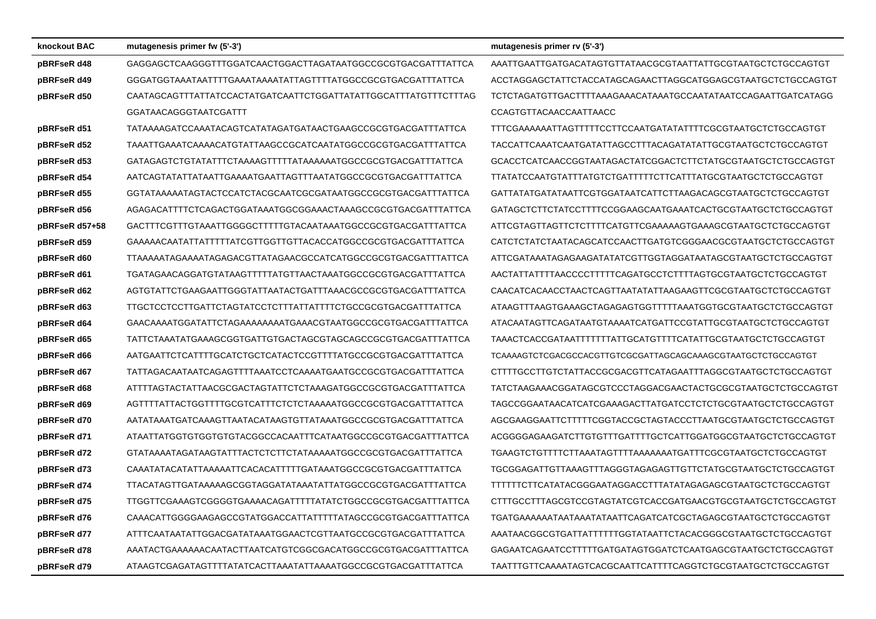| knockout BAC   | mutagenesis primer fw (5'-3')                                   | mutagenesis primer rv (5'-3')                                 |
|----------------|-----------------------------------------------------------------|---------------------------------------------------------------|
| pBRFseR d48    | GAGGAGCTCAAGGGTTTGGATCAACTGGACTTAGATAATGGCCGCGTGACGATTTATTCA    | AAATTGAATTGATGACATAGTGTTATAACGCGTAATTATTGCGTAATGCTCTGCCAGTGT  |
| pBRFseR d49    | GGGATGGTAAATAATTTTGAAATAAAATATTAGTTTTATGGCCGCGTGACGATTTATTCA    | ACCTAGGAGCTATTCTACCATAGCAGAACTTAGGCATGGAGCGTAATGCTCTGCCAGTGT  |
| pBRFseR d50    | CAATAGCAGTTTATTATCCACTATGATCAATTCTGGATTATATTGGCATTTATGTTTCTTTAG | TCTCTAGATGTTGACTTTTAAAGAAACATAAATGCCAATATAATCCAGAATTGATCATAGG |
|                | GGATAACAGGGTAATCGATTT                                           | CCAGTGTTACAACCAATTAACC                                        |
| pBRFseR d51    | TATAAAAGATCCAAATACAGTCATATAGATGATAACTGAAGCCGCGTGACGATTTATTCA    | TTTCGAAAAAATTAGTTTTTCCTTCCAATGATATATTTTCGCGTAATGCTCTGCCAGTGT  |
| pBRFseR d52    | TAAATTGAAATCAAAACATGTATTAAGCCGCATCAATATGGCCGCGTGACGATTTATTCA    | TACCATTCAAATCAATGATATTAGCCTTTACAGATATATTGCGTAATGCTCTGCCAGTGT  |
| pBRFseR d53    | GATAGAGTCTGTATATTTCTAAAAGTTTTTATAAAAAATGGCCGCGTGACGATTTATTCA    | GCACCTCATCAACCGGTAATAGACTATCGGACTCTTCTATGCGTAATGCTCTGCCAGTGT  |
| pBRFseR d54    | AATCAGTATATTATAATTGAAAATGAATTAGTTTAATATGGCCGCGTGACGATTTATTCA    | TTATATCCAATGTATTTATGTCTGATTTTTCTTCATTTATGCGTAATGCTCTGCCAGTGT  |
| pBRFseR d55    | GGTATAAAAATAGTACTCCATCTACGCAATCGCGATAATGGCCGCGTGACGATTTATTCA    | GATTATATGATATAATTCGTGGATAATCATTCTTAAGACAGCGTAATGCTCTGCCAGTGT  |
| pBRFseR d56    | AGAGACATTTTCTCAGACTGGATAAATGGCGGAAACTAAAGCCGCGTGACGATTTATTCA    | GATAGCTCTTCTATCCTTTTCCGGAAGCAATGAAATCACTGCGTAATGCTCTGCCAGTGT  |
| pBRFseR d57+58 | GACTTTCGTTTGTAAATTGGGGCTTTTTGTACAATAAATGGCCGCGTGACGATTTATTCA    | ATTCGTAGTTAGTTCTCTTTTCATGTTCGAAAAAGTGAAAGCGTAATGCTCTGCCAGTGT  |
| pBRFseR d59    | GAAAAACAATATTATTTTATCGTTGGTTGTTACACCATGGCCGCGTGACGATTTATTCA     | CATCTCTATCTAATACAGCATCCAACTTGATGTCGGGAACGCGTAATGCTCTGCCAGTGT  |
| pBRFseR d60    | TTAAAAATAGAAAATAGAGACGTTATAGAACGCCATCATGGCCGCGTGACGATTTATTCA    | ATTCGATAAATAGAGAAGATATATCGTTGGTAGGATAATAGCGTAATGCTCTGCCAGTGT  |
| pBRFseR d61    | TGATAGAACAGGATGTATAAGTTTTTATGTTAACTAAATGGCCGCGTGACGATTTATTCA    | AACTATTATTTTAACCCCTTTTTCAGATGCCTCTTTTAGTGCGTAATGCTCTGCCAGTGT  |
| pBRFseR d62    | AGTGTATTCTGAAGAATTGGGTATTAATACTGATTTAAACGCCGCGTGACGATTTATTCA    | CAACATCACAACCTAACTCAGTTAATATATTAAGAAGTTCGCGTAATGCTCTGCCAGTGT  |
| pBRFseR d63    | TTGCTCCTCCTTGATTCTAGTATCCTCTTTATTATTTTCTGCCGCGTGACGATTTATTCA    | ATAAGTTTAAGTGAAAGCTAGAGAGTGGTTTTTAAATGGTGCGTAATGCTCTGCCAGTGT  |
| pBRFseR d64    | GAACAAAATGGATATTCTAGAAAAAAAATGAAACGTAATGGCCGCGTGACGATTTATTCA    | ATACAATAGTTCAGATAATGTAAAATCATGATTCCGTATTGCGTAATGCTCTGCCAGTGT  |
| pBRFseR d65    | TATTCTAAATATGAAAGCGGTGATTGTGACTAGCGTAGCAGCCGCGTGACGATTTATTCA    | TAAACTCACCGATAATTTTTTTATTGCATGTTTTCATATTGCGTAATGCTCTGCCAGTGT  |
| pBRFseR d66    | AATGAATTCTCATTTTGCATCTGCTCATACTCCGTTTTATGCCGCGTGACGATTTATTCA    | TCAAAAGTCTCGACGCCACGTTGTCGCGATTAGCAGCAAAGCGTAATGCTCTGCCAGTGT  |
| pBRFseR d67    |                                                                 | CTTTTGCCTTGTCTATTACCGCGACGTTCATAGAATTTAGGCGTAATGCTCTGCCAGTGT  |
| pBRFseR d68    | ATTTTAGTACTATTAACGCGACTAGTATTCTCTAAAGATGGCCGCGTGACGATTTATTCA    | TATCTAAGAAACGGATAGCGTCCCTAGGACGAACTACTGCGCGTAATGCTCTGCCAGTGT  |
| pBRFseR d69    | AGTTTTATTACTGGTTTTGCGTCATTTCTCTCTAAAAATGGCCGCGTGACGATTTATTCA    | TAGCCGGAATAACATCATCGAAAGACTTATGATCCTCTCTGCGTAATGCTCTGCCAGTGT  |
| pBRFseR d70    | AATATAAATGATCAAAGTTAATACATAAGTGTTATAAATGGCCGCGTGACGATTTATTCA    | AGCGAAGGAATTCTTTTTCGGTACCGCTAGTACCCTTAATGCGTAATGCTCTGCCAGTGT  |
| pBRFseR d71    | ATAATTATGGTGTGGTGTGTACGGCCACAATTTCATAATGGCCGCGTGACGATTTATTCA    | ACGGGGAGAAGATCTTGTGTTTGATTTTGCTCATTGGATGGCGTAATGCTCTGCCAGTGT  |
| pBRFseR d72    | GTATAAAATAGATAAGTATTTACTCTCTTCTATAAAAATGGCCGCGTGACGATTTATTCA    | TGAAGTCTGTTTTCTTAAATAGTTTTAAAAAAATGATTTCGCGTAATGCTCTGCCAGTGT  |
| pBRFseR d73    | CAAATATACATATTAAAAATTCACACATTTTTGATAAATGGCCGCGTGACGATTTATTCA    | TGCGGAGATTGTTAAAGTTTAGGGTAGAGAGTTGTTCTATGCGTAATGCTCTGCCAGTGT  |
| pBRFseR d74    | TTACATAGTTGATAAAAAGCGGTAGGATATAAATATTATGGCCGCGTGACGATTTATTCA    | TTTTTTCTTCATATACGGGAATAGGACCTTTATATAGAGAGCGTAATGCTCTGCCAGTGT  |
| pBRFseR d75    | TTGGTTCGAAAGTCGGGGTGAAAACAGATTTTTATATCTGGCCGCGTGACGATTTATTCA    | CTTTGCCTTTAGCGTCCGTAGTATCGTCACCGATGAACGTGCGTAATGCTCTGCCAGTGT  |
| pBRFseR d76    | CAAACATTGGGGAAGAGCCGTATGGACCATTATTTTATAGCCGCGTGACGATTTATTCA     | TGATGAAAAAATAATAAATATAATTCAGATCATCGCTAGAGCGTAATGCTCTGCCAGTGT  |
| pBRFseR d77    | ATTTCAATATATTGGACGATATAAATGGAACTCGTTAATGCCGCGTGACGATTTATTCA     | AAATAACGGCGTGATTATTTTTTGGTATAATTCTACACGGGCGTAATGCTCTGCCAGTGT  |
| pBRFseR d78    | AAATACTGAAAAAACAATACTTAATCATGTCGGCGACATGGCCGCGTGACGATTTATTCA    | GAGAATCAGAATCCTTTTTGATGATAGTGGATCTCAATGAGCGTAATGCTCTGCCAGTGT  |
| pBRFseR d79    | ATAAGTCGAGATAGTTTTATATCACTTAAATATTAAAATGGCCGCGTGACGATTTATTCA    | TAATTTGTTCAAAATAGTCACGCAATTCATTTTCAGGTCTGCGTAATGCTCTGCCAGTGT  |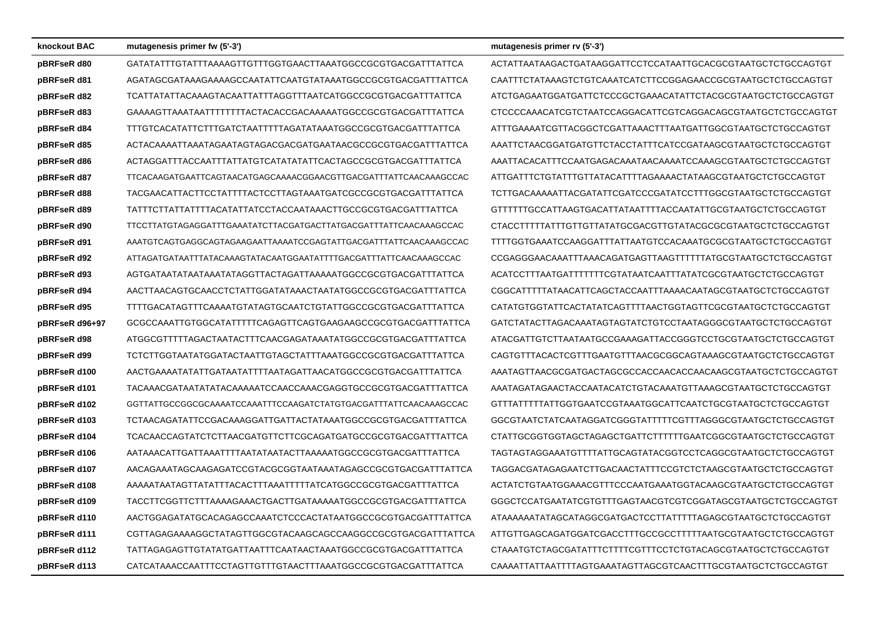| knockout BAC   | mutagenesis primer fw (5'-3')                                    | mutagenesis primer rv (5'-3')                                |
|----------------|------------------------------------------------------------------|--------------------------------------------------------------|
| pBRFseR d80    | GATATATTTGTATTTAAAAGTTGTTTGGTGAACTTAAATGGCCGCGTGACGATTTATTCA     | ACTATTAATAAGACTGATAAGGATTCCTCCATAATTGCACGCGTAATGCTCTGCCAGTGT |
| pBRFseR d81    | AGATAGCGATAAAGAAAAGCCAATATTCAATGTATAAATGGCCGCGTGACGATTTATTCA     | CAATTTCTATAAAGTCTGTCAAATCATCTTCCGGAGAACCGCGTAATGCTCTGCCAGTGT |
| pBRFseR d82    | TCATTATATTACAAAGTACAATTATTTAGGTTTAATCATGGCCGCGTGACGATTTATTCA     | ATCTGAGAATGGATGATTCTCCCGCTGAAACATATTCTACGCGTAATGCTCTGCCAGTGT |
| pBRFseR d83    | GAAAAGTTAAATAATTTTTTTTACTACACCGACAAAAATGGCCGCGTGACGATTTATTCA     | CTCCCCAAACATCGTCTAATCCAGGACATTCGTCAGGACAGCGTAATGCTCTGCCAGTGT |
| pBRFseR d84    | TTTGTCACATATTCTTTGATCTAATTTTTAGATATAAATGGCCGCGTGACGATTTATTCA     | ATTTGAAAATCGTTACGGCTCGATTAAACTTTAATGATTGGCGTAATGCTCTGCCAGTGT |
| pBRFseR d85    | ACTACAAAATTAAATAGAATAGTAGACGACGATGAATAACGCCGCGTGACGATTTATTCA     | AAATTCTAACGGATGATGTTCTACCTATTTCATCCGATAAGCGTAATGCTCTGCCAGTGT |
| pBRFseR d86    | ACTAGGATTTACCAATTTATTATGTCATATATATTCACTAGCCGCGTGACGATTTATTCA     | AAATTACACATTTCCAATGAGACAAATAACAAAATCCAAAGCGTAATGCTCTGCCAGTGT |
| pBRFseR d87    | TTCACAAGATGAATTCAGTAACATGAGCAAAACGGAACGTTGACGATTTATTCAACAAAGCCAC | ATTGATTTCTGTATTTGTTATACATTTTAGAAAACTATAAGCGTAATGCTCTGCCAGTGT |
| pBRFseR d88    | TACGAACATTACTTCCTATTTTACTCCTTAGTAAATGATCGCCGCGTGACGATTTATTCA     | TCTTGACAAAAATTACGATATTCGATCCCGATATCCTTTGGCGTAATGCTCTGCCAGTGT |
| pBRFseR d89    | TATTTCTTATTATTTTACATATTATCCTACCAATAAACTTGCCGCGTGACGATTTATTCA     | GTTTTTTGCCATTAAGTGACATTATAATTTTACCAATATTGCGTAATGCTCTGCCAGTGT |
| pBRFseR d90    | TTCCTTATGTAGAGGATTTGAAATATCTTACGATGACTTATGACGATTTATTCAACAAAGCCAC | CTACCTTTTTATTTGTTGTTATATGCGACGTTGTATACGCGCGTAATGCTCTGCCAGTGT |
| pBRFseR d91    | AAATGTCAGTGAGGCAGTAGAAGAATTAAAATCCGAGTATTGACGATTTATTCAACAAAGCCAC | TTTTGGTGAAATCCAAGGATTTATTAATGTCCACAAATGCGCGTAATGCTCTGCCAGTGT |
| pBRFseR d92    | ATTAGATGATAATTTATACAAAGTATACAATGGAATATTTTGACGATTTATTCAACAAAGCCAC | CCGAGGGAACAAATTTAAACAGATGAGTTAAGTTTTTTATGCGTAATGCTCTGCCAGTGT |
| pBRFseR d93    | AGTGATAATAATAATAATATAGGTTACTAGATTAAAAATGGCCGCGTGACGATTTATTCA     | ACATCCTTTAATGATTTTTTTCGTATAATCAATTTATATCGCGTAATGCTCTGCCAGTGT |
| pBRFseR d94    | AACTTAACAGTGCAACCTCTATTGGATATAAACTAATATGGCCGCGTGACGATTTATTCA     | CGGCATTTTTATAACATTCAGCTACCAATTTAAAACAATAGCGTAATGCTCTGCCAGTGT |
| pBRFseR d95    | TTTTGACATAGTTTCAAAATGTATAGTGCAATCTGTATTGGCCGCGTGACGATTTATTCA     | CATATGTGGTATTCACTATATCAGTTTTAACTGGTAGTTCGCGTAATGCTCTGCCAGTGT |
| pBRFseR d96+97 | GCGCCAAATTGTGGCATATTTTTCAGAGTTCAGTGAAGAAGCCGCGTGACGATTTATTCA     | GATCTATACTTAGACAAATAGTAGTATCTGTCCTAATAGGGCGTAATGCTCTGCCAGTGT |
| pBRFseR d98    | ATGGCGTTTTTAGACTAATACTTTCAACGAGATAAATATGGCCGCGTGACGATTTATTCA     | ATACGATTGTCTTAATAATGCCGAAAGATTACCGGGTCCTGCGTAATGCTCTGCCAGTGT |
| pBRFseR d99    | TCTCTTGGTAATATGGATACTAATTGTAGCTATTTAAATGGCCGCGTGACGATTTATTCA     | CAGTGTTTACACTCGTTTGAATGTTTAACGCGGCAGTAAAGCGTAATGCTCTGCCAGTGT |
| pBRFseR d100   | AACTGAAAATATATTGATAATATTTTAATAGATTAACATGGCCGCGTGACGATTTATTCA     | AAATAGTTAACGCGATGACTAGCGCCACCAACACCAACAAGCGTAATGCTCTGCCAGTGT |
| pBRFseR d101   | TACAAACGATAATATATACAAAAATCCAACCAAACGAGGTGCCGCGTGACGATTTATTCA     | AAATAGATAGAACTACCAATACATCTGTACAAATGTTAAAGCGTAATGCTCTGCCAGTGT |
| pBRFseR d102   | GGTTATTGCCGGCGCAAAATCCAAATTTCCAAGATCTATGTGACGATTTATTCAACAAAGCCAC | GTTTATTTTTATTGGTGAATCCGTAAATGGCATTCAATCTGCGTAATGCTCTGCCAGTGT |
| pBRFseR d103   | TCTAACAGATATTCCGACAAAGGATTGATTACTATAAATGGCCGCGTGACGATTTATTCA     | GGCGTAATCTATCAATAGGATCGGGTATTTTTCGTTTAGGGCGTAATGCTCTGCCAGTGT |
| pBRFseR d104   | TCACAACCAGTATCTCTTAACGATGTTCTTCGCAGATGATGCCGCGTGACGATTTATTCA     | CTATTGCGGTGGTAGCTAGAGCTGATTCTTTTTGAATCGGCGTAATGCTCTGCCAGTGT  |
| pBRFseR d106   | AATAAACATTGATTAAATTTTAATATAATACTTAAAAATGGCCGCGTGACGATTTATTCA     | TAGTAGTAGGAAATGTTTTATTGCAGTATACGGTCCTCAGGCGTAATGCTCTGCCAGTGT |
| pBRFseR d107   | AACAGAAATAGCAAGAGATCCGTACGCGGTAATAAATAGAGCCGCGTGACGATTTATTCA     | TAGGACGATAGAGAATCTTGACAACTATTTCCGTCTCTAAGCGTAATGCTCTGCCAGTGT |
| pBRFseR d108   | AAAAATAATAGTTATATTATACACTTTAAATTTTTATCATGGCCGCGTGACGATTTATTCA    | ACTATCTGTAATGGAAACGTTTCCCAATGAAATGGTACAAGCGTAATGCTCTGCCAGTGT |
| pBRFseR d109   | TACCTTCGGTTCTTTAAAAGAAACTGACTTGATAAAAATGGCCGCGTGACGATTTATTCA     | GGGCTCCATGAATATCGTGTTTGAGTAACGTCGTCGGATAGCGTAATGCTCTGCCAGTGT |
| pBRFseR d110   | AACTGGAGATATGCACAGAGCCAAATCTCCCACTATAATGGCCGCGTGACGATTTATTCA     | ATAAAAAATATAGCATAGGCGATGACTCCTTATTTTTAGAGCGTAATGCTCTGCCAGTGT |
| pBRFseR d111   | CGTTAGAGAAAAGGCTATAGTTGGCGTACAAGCAGCCAAGGCCGCGTGACGATTTATTCA     | ATTGTTGAGCAGATGGATCGACCTTTGCCGCCTTTTTAATGCGTAATGCTCTGCCAGTGT |
| pBRFseR d112   | TATTAGAGAGTTGTATATGATTAATTTCAATAACTAAATGGCCGCGTGACGATTTATTCA     | CTAAATGTCTAGCGATATTTCTTTTCGTTTCCTCTGTACAGCGTAATGCTCTGCCAGTGT |
| pBRFseR d113   | CATCATAAACCAATTTCCTAGTTGTTTGTAACTTTAAATGGCCGCGTGACGATTTATTCA     | CAAAATTATTAATTTTAGTGAAATAGTTAGCGTCAACTTTGCGTAATGCTCTGCCAGTGT |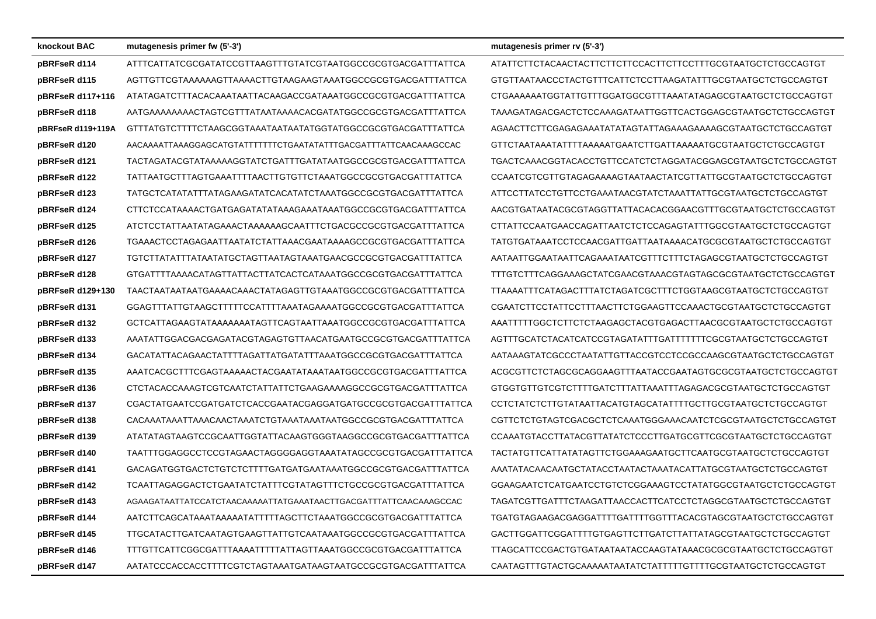| knockout BAC      | mutagenesis primer fw (5'-3')                                    | mutagenesis primer rv (5'-3')                                 |
|-------------------|------------------------------------------------------------------|---------------------------------------------------------------|
| pBRFseR d114      | ATTTCATTATCGCGATATCCGTTAAGTTTGTATCGTAATGGCCGCGTGACGATTTATTCA     | ATATTCTTCTACAACTACTTCTTCTTCCACTTCTTCCTTTGCGTAATGCTCTGCCAGTGT  |
| pBRFseR d115      | AGTTGTTCGTAAAAAAGTTAAAACTTGTAAGAAGTAAATGGCCGCGTGACGATTTATTCA     | GTGTTAATAACCCTACTGTTTCATTCTCCTTAAGATATTTGCGTAATGCTCTGCCAGTGT  |
| pBRFseR d117+116  | ATATAGATCTTTACACAAATAATTACAAGACCGATAAATGGCCGCGTGACGATTTATTCA     | CTGAAAAAATGGTATTGTTTGGATGGCGTTTAAATATAGAGCGTAATGCTCTGCCAGTGT  |
| pBRFseR d118      | AATGAAAAAAAACTAGTCGTTTATAATAAAACACGATATGGCCGCGTGACGATTTATTCA     | TAAAGATAGACGACTCTCCAAAGATAATTGGTTCACTGGAGCGTAATGCTCTGCCAGTGT  |
| pBRFseR d119+119A | GTTTATGTCTTTTCTAAGCGGTAAATAATAATAGTATGGCCGCGCGTGACGATTTATTCA     | AGAACTTCTTCGAGAGAAATATATAGTATTAGAAAGGAAAAGCGTAATGCTCTGCCAGTGT |
| pBRFseR d120      | AACAAAATTAAAGGAGCATGTATTTTTTCTGAATATATTTGACGATTTATTCAACAAAGCCAC  | GTTCTAATAAATATTTTAAAAATGAATCTTGATTAAAAATGCGTAATGCTCTGCCAGTGT  |
| pBRFseR d121      | TACTAGATACGTATAAAAAGGTATCTGATTTGATATAATGGCCGCGTGACGATTTATTCA     | TGACTCAAACGGTACACCTGTTCCATCTCTAGGATACGGAGCGTAATGCTCTGCCAGTGT  |
| pBRFseR d122      | TATTAATGCTTTAGTGAAATTTTAACTTGTGTTCTAAATGGCCGCGTGACGATTTATTCA     | CCAATCGTCGTTGTAGAGAAAAGTAATAACTATCGTTATTGCGTAATGCTCTGCCAGTGT  |
| pBRFseR d123      | TATGCTCATATATTTATAGAAGATATCACATATCTAAATGGCCGCGTGACGATTTATTCA     | ATTCCTTATCCTGTTCCTGAAATAACGTATCTAAATTATTGCGTAATGCTCTGCCAGTGT  |
| pBRFseR d124      | CTTCTCCATAAAACTGATGAGATATATAAAGAAATAAATGGCCGCGTGACGATTTATTCA     | AACGTGATAATACGCGTAGGTTATTACACACGGAACGTTTGCGTAATGCTCTGCCAGTGT  |
| pBRFseR d125      | ATCTCCTATTAATATAGAAACTAAAAAAGCAATTTCTGACGCCGCGTGACGATTTATTCA     | CTTATTCCAATGAACCAGATTAATCTCTCCAGAGTATTTGGCGTAATGCTCTGCCAGTGT  |
| pBRFseR d126      | TGAAACTCCTAGAGAATTAATATCTATTAAACGAATAAAAGCCGCGTGACGATTTATTCA     | TATGTGATAAATCCTCCAACGATTGATTAATAAAACATGCGCGTAATGCTCTGCCAGTGT  |
| pBRFseR d127      | TGTCTTATATTTATAATATGCTAGTTAATAGTAAATGAACGCCGCGTGACGATTTATTCA     | AATAATTGGAATAATTCAGAAATAATCGTTTCTTTCTAGAGCGTAATGCTCTGCCAGTGT  |
| pBRFseR d128      | GTGATTTTAAAACATAGTTATTACTTATCACTCATAAATGGCCGCGTGACGATTTATTCA     | TTTGTCTTTCAGGAAAGCTATCGAACGTAAACGTAGTAGCGCGTAATGCTCTGCCAGTGT  |
| pBRFseR d129+130  | TAACTAATAATAATGAAAACAAACTATAGAGTTGTAAATGGCCGCGTGACGATTTATTCA     | TTAAAATTTCATAGACTTTATCTAGATCGCTTTCTGGTAAGCGTAATGCTCTGCCAGTGT  |
| pBRFseR d131      | GGAGTTTATTGTAAGCTTTTTCCATTTTAAATAGAAAATGGCCGCGTGACGATTTATTCA     | CGAATCTTCCTATTCCTTTAACTTCTGGAAGTTCCAAACTGCGTAATGCTCTGCCAGTGT  |
| pBRFseR d132      | GCTCATTAGAAGTATAAAAAAATAGTTCAGTAATTAAATGGCCGCGTGACGATTTATTCA     | AAATTTTTGGCTCTTCTCTAAGAGCTACGTGAGACTTAACGCGTAATGCTCTGCCAGTGT  |
| pBRFseR d133      | AAATATTGGACGACGAGATACGTAGAGTGTTAACATGAATGCCGCGTGACGATTTATTCA     | AGTTTGCATCTACATCATCCGTAGATATTTGATTTTTTCGCGTAATGCTCTGCCAGTGT   |
| pBRFseR d134      | GACATATTACAGAACTATTTTAGATTATGATATTTAAATGGCCGCGTGACGATTTATTCA     | AATAAAGTATCGCCCTAATATTGTTACCGTCCTCCGCCAAGCGTAATGCTCTGCCAGTGT  |
| pBRFseR d135      | AAATCACGCTTTCGAGTAAAAACTACGAATATAAATAATGGCCGCGTGACGATTTATTCA     | ACGCGTTCTCTAGCGCAGGAAGTTTAATACCGAATAGTGCGCGTAATGCTCTGCCAGTGT  |
| pBRFseR d136      | CTCTACACCAAAGTCGTCAATCTATTATTCTGAAGAAAAGGCCGCGTGACGATTTATTCA     | GTGGTGTTGTCGTCTTTTGATCTTTATTAAATTTAGAGACGCGTAATGCTCTGCCAGTGT  |
| pBRFseR d137      | CGACTATGAATCCGATGATCTCACCGAATACGAGGATGATGCCGCGTGACGATTTATTCA     |                                                               |
| pBRFseR d138      | CACAAATAAATTAAACAACTAAATCTGTAAATAAATAATGGCCGCGTGACGATTTATTCA     | CGTTCTCTGTAGTCGACGCTCTCAAATGGGAAACAATCTCGCGTAATGCTCTGCCAGTGT  |
| pBRFseR d139      | ATATATAGTAAGTCCGCAATTGGTATTACAAGTGGGTAAGGCCGCGTGACGATTTATTCA     | CCAAATGTACCTTATACGTTATATCTCCCTTGATGCGTTCGCGTAATGCTCTGCCAGTGT  |
| pBRFseR d140      | TAATTTGGAGGCCTCCGTAGAACTAGGGGAGGTAAATATAGCCGCGTGACGATTTATTCA     | TACTATGTTCATTATATAGTTCTGGAAAGAATGCTTCAATGCGTAATGCTCTGCCAGTGT  |
| pBRFseR d141      | GACAGATGGTGACTCTGTCTCTTTTGATGATGAATAAATGGCCGCGTGACGATTTATTCA     | AAATATACAACAATGCTATACCTAATACTAAATACATTATGCGTAATGCTCTGCCAGTGT  |
| pBRFseR d142      | TCAATTAGAGGACTCTGAATATCTATTTCGTATAGTTTCTGCCGCGTGACGATTTATTCA     | GGAAGAATCTCATGAATCCTGTCTCGGAAAGTCCTATATGGCGTAATGCTCTGCCAGTGT  |
| pBRFseR d143      | AGAAGATAATTATCCATCTAACAAAAATTATGAAATAACTTGACGATTTATTCAACAAAGCCAC | TAGATCGTTGATTTCTAAGATTAACCACTTCATCCTCTAGGCGTAATGCTCTGCCAGTGT  |
| pBRFseR d144      | AATCTTCAGCATAAATAAAAATATTTTTAGCTTCTAAATGGCCGCGTGACGATTTATTCA     | TGATGTAGAAGACGAGGATTTTGATTTTGGTTTACACGTAGCGTAATGCTCTGCCAGTGT  |
| pBRFseR d145      | TTGCATACTTGATCAATAGTGAAGTTATTGTCAATAAATGGCCGCGTGACGATTTATTCA     | GACTTGGATTCGGATTTTGTGAGTTCTTGATCTTATTATAGCGTAATGCTCTGCCAGTGT  |
| pBRFseR d146      | TTTGTTCATTCGGCGATTTAAAATTTTTATTAGTTAAATGGCCGCGTGACGATTTATTCA     | TTAGCATTCCGACTGTGATAATAATACCAAGTATAAACGCGCGTAATGCTCTGCCAGTGT  |
| pBRFseR d147      | AATATCCCACCACCTTTTCGTCTAGTAAATGATAAGTAATGCCGCGTGACGATTTATTCA     | CAATAGTTTGTACTGCAAAAATAATATCTATTTTTGTTTTGCGTAATGCTCTGCCAGTGT  |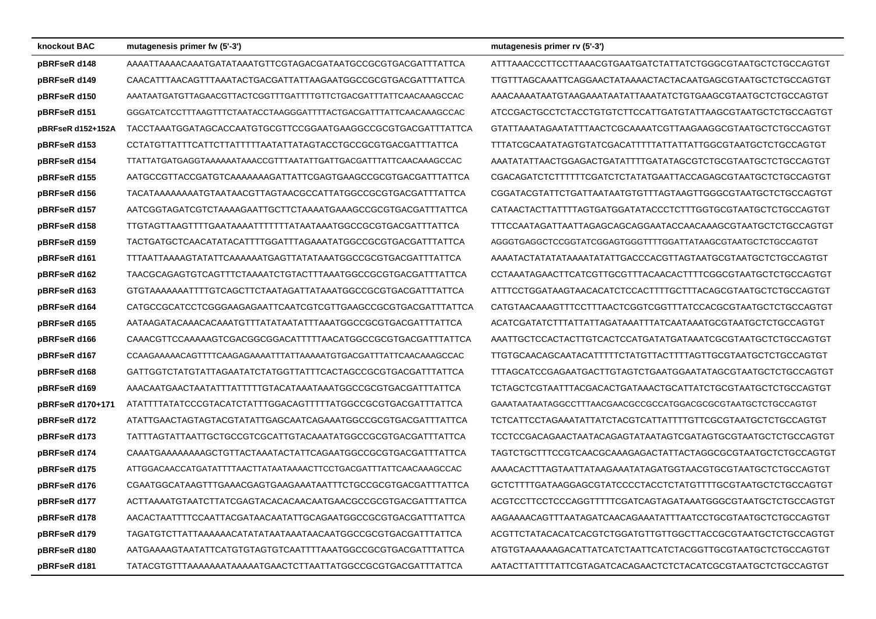| knockout BAC      | mutagenesis primer fw (5'-3')                                     | mutagenesis primer rv (5'-3')                                |
|-------------------|-------------------------------------------------------------------|--------------------------------------------------------------|
| pBRFseR d148      | AAAATTAAAACAAATGATATAAATGTTCGTAGACGATAATGCCGCGTGACGATTTATTCA      | ATTTAAACCCTTCCTTAAACGTGAATGATCTATTATCTGGGCGTAATGCTCTGCCAGTGT |
| pBRFseR d149      | CAACATTTAACAGTTTAAATACTGACGATTATTAAGAATGGCCGCGTGACGATTTATTCA      | TTGTTTAGCAAATTCAGGAACTATAAAACTACTACAATGAGCGTAATGCTCTGCCAGTGT |
| pBRFseR d150      | AAATAATGATGTTAGAACGTTACTCGGTTTGATTTTGTTCTGACGATTTATTCAACAAAGCCAC  | AAACAAAATAATGTAAGAAATAATATATAATATCTGTGAAGCGTAATGCTCTGCCAGTGT |
| pBRFseR d151      | GGGATCATCCTTTAAGTTTCTAATACCTAAGGGATTTTACTGACGATTTATTCAACAAAGCCAC  | ATCCGACTGCCTCTACCTGTGTCTTCCATTGATGTATTAAGCGTAATGCTCTGCCAGTGT |
| pBRFseR d152+152A | TACCTAAATGGATAGCACCAATGTGCGTTCCGGAATGAAGGCCGCGTGACGATTTATTCA      | GTATTAAATAGAATATTTAACTCGCAAAATCGTTAAGAAGGCGTAATGCTCTGCCAGTGT |
| pBRFseR d153      | CCTATGTTATTTCATTCTTATTTTTAATATTATAGTACCTGCCGCGTGACGATTTATTCA      | TTTATCGCAATATAGTGTATCGACATTTTTATTATTATTGGCGTAATGCTCTGCCAGTGT |
| pBRFseR d154      |                                                                   | AAATATATTAACTGGAGACTGATATTTTGATATAGCGTCTGCGTAATGCTCTGCCAGTGT |
| pBRFseR d155      | AATGCCGTTACCGATGTCAAAAAAAGATTATTCGAGTGAAGCCGCGTGACGATTTATTCA      | CGACAGATCTCTTTTTTCGATCTCTATATGAATTACCAGAGCGTAATGCTCTGCCAGTGT |
| pBRFseR d156      | TACATAAAAAAAAATGTAATAACGTTAGTAACGCCATTATGGCCGCGTGACGATTTATTCA     | CGGATACGTATTCTGATTAATAATGTGTTTAGTAAGTTGGGCGTAATGCTCTGCCAGTGT |
| pBRFseR d157      | AATCGGTAGATCGTCTAAAAGAATTGCTTCTAAAATGAAAGCCGCGTGACGATTTATTCA      | CATAACTACTTATTTTAGTGATGGATATACCCTCTTTGGTGCGTAATGCTCTGCCAGTGT |
| pBRFseR d158      | TTGTAGTTAAGTTTTGAATAAAATTTTTTTATAATAAATGGCCGCGTGACGATTTATTCA      | TTTCCAATAGATTAATTAGAGCAGCAGGAATACCAACAAAGCGTAATGCTCTGCCAGTGT |
| pBRFseR d159      | TACTGATGCTCAACATATACATTTTGGATTTAGAAATATGGCCGCGTGACGATTTATTCA      | AGGGTGAGGCTCCGGTATCGGAGTGGGTTTTGGATTATAAGCGTAATGCTCTGCCAGTGT |
| pBRFseR d161      | TTTAATTAAAAGTATATTCAAAAAATGAGTTATATAAATGGCCGCGTGACGATTTATTCA      | AAAATACTATATATAAAATATATTGACCCACGTTAGTAATGCGTAATGCTCTGCCAGTGT |
| pBRFseR d162      | TAACGCAGAGTGTCAGTTTCTAAAATCTGTACTTTAAATGGCCGCGTGACGATTTATTCA      | CCTAAATAGAACTTCATCGTTGCGTTTACAACACTTTTCGGCGTAATGCTCTGCCAGTGT |
| pBRFseR d163      | GTGTAAAAAAATTTTGTCAGCTTCTAATAGATTATAAATGGCCGCGTGACGATTTATTCA      | ATTTCCTGGATAAGTAACACATCTCCACTTTTGCTTTACAGCGTAATGCTCTGCCAGTGT |
| pBRFseR d164      | CATGCCGCATCCTCGGGAAGAGAATTCAATCGTCGTTGAAGCCGCGTGACGATTTATTCA      | CATGTAACAAAGTTTCCTTTAACTCGGTCGGTTTATCCACGCGTAATGCTCTGCCAGTGT |
| pBRFseR d165      | AATAAGATACAAACACAAATGTTTATATAATATTTAAATGGCCGCGTGACGATTTATTCA      | ACATCGATATCTTTATTATTAGATAAATTTATCAATAAATGCGTAATGCTCTGCCAGTGT |
| pBRFseR d166      | CAAACGTTCCAAAAAGTCGACGGCGGACATTTTTAACATGGCCGCGTGACGATTTATTCA      | AAATTGCTCCACTACTTGTCACTCCATGATATGATAAATCGCGTAATGCTCTGCCAGTGT |
| pBRFseR d167      | CCAAGAAAAAACAGTTTTCAAGAGAAAATTTATTAAAAATGTGACGATTTATTCAACAAAGCCAC | TTGTGCAACAGCAATACATTTTTCTATGTTACTTTTAGTTGCGTAATGCTCTGCCAGTGT |
| pBRFseR d168      | GATTGGTCTATGTATTAGAATATCTATGGTTATTTCACTAGCCGCGTGACGATTTATTCA      | TTTAGCATCCGAGAATGACTTGTAGTCTGAATGGAATATAGCGTAATGCTCTGCCAGTGT |
| pBRFseR d169      | AAACAATGAACTAATATTTATTTTGTACATAAATAAATGGCCGCGTGACGATTTATTCA       | TCTAGCTCGTAATTTACGACACTGATAAACTGCATTATCTGCGTAATGCTCTGCCAGTGT |
| pBRFseR d170+171  | ATATTTTATATCCCGTACATCTATTTGGACAGTTTTTATGGCCGCGTGACGATTTATTCA      | GAAATAATAATAGGCCTTTAACGAACGCCGCCATGGACGCGCGTAATGCTCTGCCAGTGT |
| pBRFseR d172      | ATATTGAACTAGTAGTACGTATATTGAGCAATCAGAAATGGCCGCGTGACGATTTATTCA      | TCTCATTCCTAGAAATATTATCTACGTCATTATTTTGTTCGCGTAATGCTCTGCCAGTGT |
| pBRFseR d173      | TATTTAGTATTAATTGCTGCCGTCGCATTGTACAAATATGGCCGCGTGACGATTTATTCA      | TCCTCCGACAGAACTAATACAGAGTATAATAGTCGATAGTGCGTAATGCTCTGCCAGTGT |
| pBRFseR d174      | CAAATGAAAAAAAAGCTGTTACTAAATACTATTCAGAATGGCCGCGTGACGATTTATTCA      | TAGTCTGCTTTCCGTCAACGCAAAGAGACTATTACTAGGCGCGTAATGCTCTGCCAGTGT |
| pBRFseR d175      | ATTGGACAACCATGATATTTTAACTTATAATAAAACTTCCTGACGATTTATTCAACAAAGCCAC  | AAAACACTTTAGTAATTATAAGAAATATAGATGGTAACGTGCGTAATGCTCTGCCAGTGT |
| pBRFseR d176      | CGAATGGCATAAGTTTGAAACGAGTGAAGAAATAATTTCTGCCGCGTGACGATTTATTCA      | GCTCTTTTGATAAGGAGCGTATCCCCTACCTCTATGTTTTGCGTAATGCTCTGCCAGTGT |
| pBRFseR d177      | ACTTAAAATGTAATCTTATCGAGTACACACAACAATGAACGCCGCGTGACGATTTATTCA      | ACGTCCTTCCTCCCAGGTTTTTCGATCAGTAGATAAATGGGCGTAATGCTCTGCCAGTGT |
| pBRFseR d178      | AACACTAATTTTCCAATTACGATAACAATATTGCAGAATGGCCGCGTGACGATTTATTCA      | AAGAAAACAGTTTAATAGATCAACAGAAATATTTAATCCTGCGTAATGCTCTGCCAGTGT |
| pBRFseR d179      | TAGATGTCTTATTAAAAAACATATATAATAAATAACAATGGCCGCGTGACGATTTATTCA      | ACGTTCTATACACATCACGTCTGGATGTTGTTGCCTTACCGCGTAATGCTCTGCCAGTGT |
| pBRFseR d180      | AATGAAAAGTAATATTCATGTGTAGTGTCAATTTTAAATGGCCGCGTGACGATTTATTCA      | ATGTGTAAAAAAGACATTATCATCTAATTCATCTACGGTTGCGTAATGCTCTGCCAGTGT |
| pBRFseR d181      | TATACGTGTTTAAAAAAATAAAATGAACTCTTAATTATGGCCGCGTGACGATTTATTCA       | AATACTTATTTTATTCGTAGATCACAGAACTCTCTACATCGCGTAATGCTCTGCCAGTGT |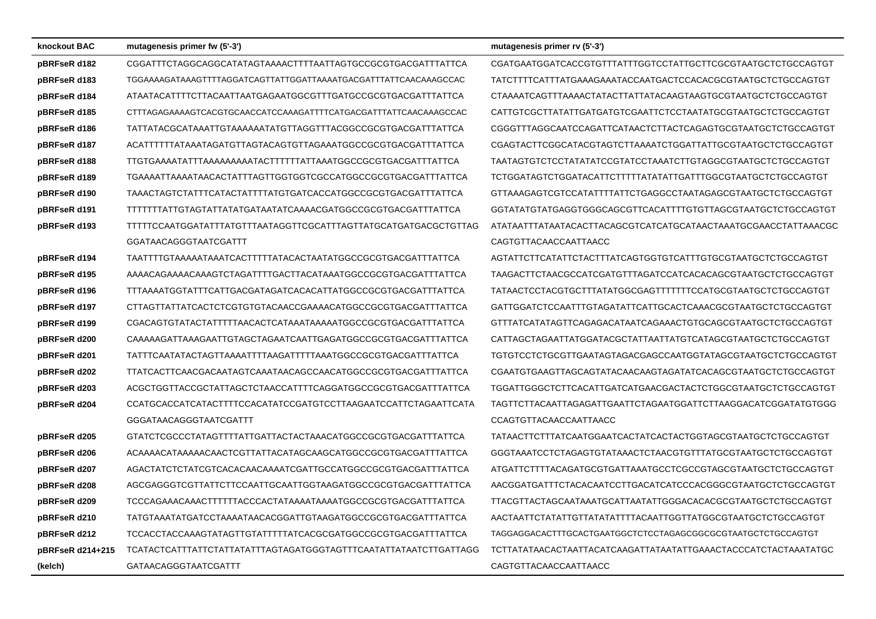| knockout BAC     | mutagenesis primer fw (5'-3')                                    | mutagenesis primer rv (5'-3')                                  |
|------------------|------------------------------------------------------------------|----------------------------------------------------------------|
| pBRFseR d182     | CGGATTTCTAGGCAGGCATATAGTAAAACTTTTAATTAGTGCCGCGTGACGATTTATTCA     | CGATGAATGGATCACCGTGTTTATTTGGTCCTATTGCTTCGCGTAATGCTCTGCCAGTGT   |
| pBRFseR d183     | TGGAAAAGATAAAGTTTTAGGATCAGTTATTGGATTAAAATGACGATTTATTCAACAAAGCCAC | TATCTTTTCATTTATGAAAGAAATACCAATGACTCCACACGCGTAATGCTCTGCCAGTGT   |
| pBRFseR d184     | ATAATACATTTTCTTACAATTAATGAGAATGGCGTTTGATGCCGCGTGACGATTTATTCA     |                                                                |
| pBRFseR d185     | CTTTAGAGAAAAGTCACGTGCAACCATCCAAAGATTTTCATGACGATTTATTCAACAAAGCCAC | CATTGTCGCTTATATTGATGATGTCGAATTCTCCTAATATGCGTAATGCTCTGCCAGTGT   |
| pBRFseR d186     | TATTATACGCATAAATTGTAAAAAATATGTTAGGTTTACGGCCGCGTGACGATTTATTCA     | CGGGTTTAGGCAATCCAGATTCATAACTCTTACTCAGAGTGCGTAATGCTCTGCCAGTGT   |
| pBRFseR d187     | ACATTTTTTATAAATAGATGTTAGTACAGTGTTAGAAATGGCCGCGTGACGATTTATTCA     | CGAGTACTTCGGCATACGTAGTCTTAAAATCTGGATTATTGCGTAATGCTCTGCCAGTGT   |
| pBRFseR d188     | TTGTGAAAATATTTAAAAAAAAATACTTTTTTATTAAATGGCCGCGTGACGATTTATTCA     | TAATAGTGTCTCCTATATATCCGTATCCTAAATCTTGTAGGCGTAATGCTCTGCCAGTGT   |
| pBRFseR d189     | TGAAAATTAAAATAACACTATTTAGTTGGTGGTCGCCATGGCCGCGTGACGATTTATTCA     | TCTGGATAGTCTGGATACATTCTTTTTATATATTGATTTGGCGTAATGCTCTGCCAGTGT   |
| pBRFseR d190     | TAAACTAGTCTATTTCATACTATTTTATGTGATCACCATGGCCGCGTGACGATTTATTCA     | GTTAAAGAGTCGTCCATATTTTATTCTGAGGCCTAATAGAGCGTAATGCTCTGCCAGTGT   |
| pBRFseR d191     | TTTTTTTATTGTAGTATTATATGATAATATCAAAACGATGGCCGCGTGACGATTTATTCA     | GGTATATGTATGAGGTGGGCAGCGTTCACATTTTGTGTTAGCGTAATGCTCTGCCAGTGT   |
| pBRFseR d193     | TTTTTCCAATGGATATTTATGTTTAATAGGTTCGCATTTAGTTATGCATGATGACGCTGTTAG  | ATATAATTTATAATACACTTACAGCGTCATCATGCATAACTAAATGCGAACCTATTAAACGC |
|                  | GGATAACAGGGTAATCGATTT                                            | CAGTGTTACAACCAATTAACC                                          |
| pBRFseR d194     | TAATTTTGTAAAAATAAATCACTTTTTATACACTAATATGGCCGCGTGACGATTTATTCA     | AGTATTCTTCATATTCTACTTTATCAGTGGTGTCATTTGTGCGTAATGCTCTGCCAGTGT   |
| pBRFseR d195     | AAAACAGAAACAAAGTCTAGATTTTGACTTACATAAATGGCCGCGTGACGATTTATTCA      | TAAGACTTCTAACGCCATCGATGTTTAGATCCATCACACAGCGTAATGCTCTGCCAGTGT   |
| pBRFseR d196     | TTTAAAATGGTATTTCATTGACGATAGATCACACATTATGGCCGCGTGACGATTTATTCA     | TATAACTCCTACGTGCTTTATATGGCGAGTTTTTTTCCATGCGTAATGCTCTGCCAGTGT   |
| pBRFseR d197     | CTTAGTTATTATCACTCTCGTGTGTACAACCGAAAACATGGCCGCGTGACGATTTATTCA     | GATTGGATCTCCAATTTGTAGATATTCATTGCACTCAAACGCGTAATGCTCTGCCAGTGT   |
| pBRFseR d199     | CGACAGTGTATACTATTTTTAACACTCATAAATTAAAATGGCCGCGTGACGATTTATTCA     | GTTTATCATATAGTTCAGAGACATAATCAGAAACTGTGCAGCGTAATGCTCTGCCAGTGT   |
| pBRFseR d200     | CAAAAAGATTAAAGAATTGTAGCTAGAATCAATTGAGATGGCCGCGTGACGATTTATTCA     | CATTAGCTAGAATTATGGATACGCTATTAATTATGTCATAGCGTAATGCTCTGCCAGTGT   |
| pBRFseR d201     | TATTTCAATATACTAGTTAAAATTTTAAGATTTTTAAATGGCCGCGTGACGATTTATTCA     | TGTGTCCTCTGCGTTGAATAGTAGACGAGCCAATGGTATAGCGTAATGCTCTGCCAGTGT   |
| pBRFseR d202     | TTATCACTTCAACGACAATAGTCAAATAACAGCCAACATGGCCGCGTGACGATTTATTCA     | CGAATGTGAAGTTAGCAGTATACAACAAGTAGATATCACAGCGTAATGCTCTGCCAGTGT   |
| pBRFseR d203     | ACGCTGGTTACCGCTATTAGCTCTAACCATTTTCAGGATGGCCGCGTGACGATTTATTCA     | TGGATTGGGCTCTTCACATTGATCATGAACGACTACTCTGGCGTAATGCTCTGCCAGTGT   |
| pBRFseR d204     | CCATGCACCATCATACTTTTCCACATATCCGATGTCCTTAAGAATCCATTCTAGAATTCATA   | TAGTTCTTACAATTAGAGATTGAATTCTAGAATGGATTCTTAAGGACATCGGATATGTGGG  |
|                  | GGGATAACAGGGTAATCGATTT                                           | CCAGTGTTACAACCAATTAACC                                         |
| pBRFseR d205     | GTATCTCGCCCTATAGTTTTATTGATTACTACTAAACATGGCCGCGTGACGATTTATTCA     | TATAACTTCTTTATCAATGGAATCACTATCACTACTGGTAGCGTAATGCTCTGCCAGTGT   |
| pBRFseR d206     | ACAAAACATAAAAAACAACTCGTTATTACATAGCAAGCATGGCCGCGTGACGATTTATTCA    | GGGTAAATCCTCTAGAGTGTATAAACTCTAACGTGTTTATGCGTAATGCTCTGCCAGTGT   |
| pBRFseR d207     | AGACTATCTCTATCGTCACACAACAAAATCGATTGCCATGGCCGCGTGACGATTTATTCA     | ATGATTCTTTTACAGATGCGTGATTAAATGCCTCGCCGTAGCGTAATGCTCTGCCAGTGT   |
| pBRFseR d208     | AGCGAGGTCGTTATTCTTCCAATTGCAATTGGTAAGATGGCCGCGTGACGATTTATTCA      | AACGGATGATTTCTACACAATCCTTGACATCATCCCACGGGCGTAATGCTCTGCCAGTGT   |
| pBRFseR d209     |                                                                  | TTACGTTACTAGCAATAAATGCATTAATATTGGGACACACGCGTAATGCTCTGCCAGTGT   |
| pBRFseR d210     | TATGTAAATATGATCCTAAAATAACACGGATTGTAAGATGGCCGCGTGACGATTTATTCA     | AACTAATTCTATATTGTTATATATTTTACAATTGGTTATGGCGTAATGCTCTGCCAGTGT   |
| pBRFseR d212     | TCCACCTACCAAAGTATAGTTGTATTTTTATCACGCGATGGCCGCGTGACGATTTATTCA     | TAGGAGGACACTTTGCACTGAATGGCTCTCCTAGAGCGGCGCGTAATGCTCTGCCAGTGT   |
| pBRFseR d214+215 | TCATACTCATTTATTCTATTATATTTAGTAGATGGGTAGTTTCAATATTATAATCTTGATTAGG | TCTTATATAACACTAATTACATCAAGATTATAATATTGAAACTACCCATCTACTAAATATGC |
| (kelch)          | GATAACAGGGTAATCGATTT                                             | CAGTGTTACAACCAATTAACC                                          |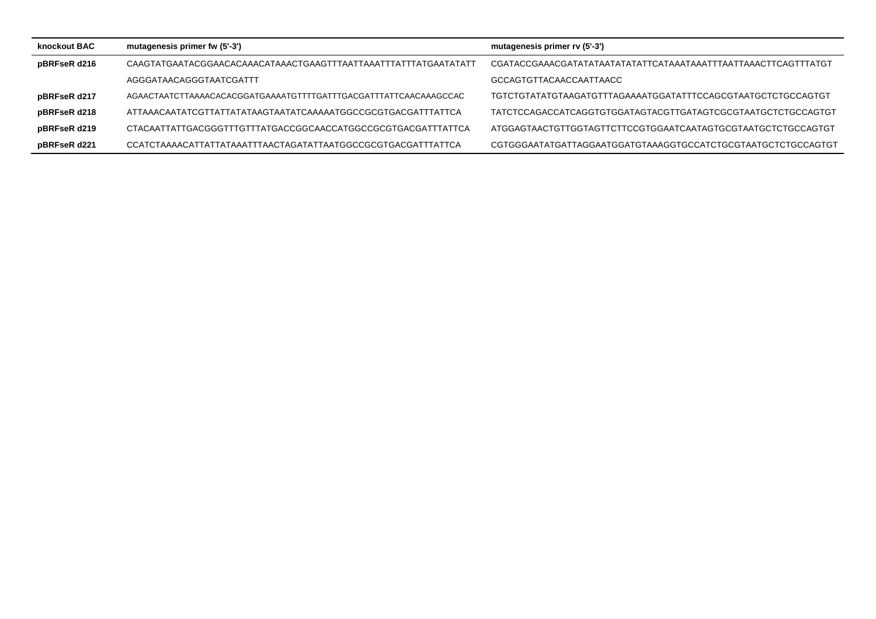| knockout BAC | mutagenesis primer fw (5'-3')                                    | mutagenesis primer rv (5'-3')                                |
|--------------|------------------------------------------------------------------|--------------------------------------------------------------|
| pBRFseR d216 |                                                                  |                                                              |
|              | AGGGATAACAGGGTAATCGATTT                                          | GCCAGTGTTACAACCAATTAACC                                      |
| pBRFseR d217 | AGAACTAATCTTAAAACACACGGATGAAAATGTTTTGATTTGACGATTTATTCAACAAAGCCAC | TGTCTGTATATGTAAGATGTTTAGAAAATGGATATTTCCAGCGTAATGCTCTGCCAGTGT |
| pBRFseR d218 | ATTAAACAATATCGTTATTATATAAGTAATATCAAAAATGGCCGCGTGACGATTTATTCA     | TATCTCCAGACCATCAGGTGTGGATAGTACGTTGATAGTCGCGTAATGCTCTGCCAGTGT |
| pBRFseR d219 | CTACAATTATTGACGGGTTTGTTTATGACCGGCAACCATGGCCGCGTGACGATTTATTCA     | ATGGAGTAACTGTTGGTAGTTCTTCCGTGGAATCAATAGTGCGTAATGCTCTGCCAGTGT |
| pBRFseR d221 | CCATCTAAAACATTATTATAAATTTAACTAGATATTAATGGCCGCGTGACGATTTATTCA     | CGTGGGAATATGATTAGGAATGGATGTAAAGGTGCCATCTGCGTAATGCTCTGCCAGTGT |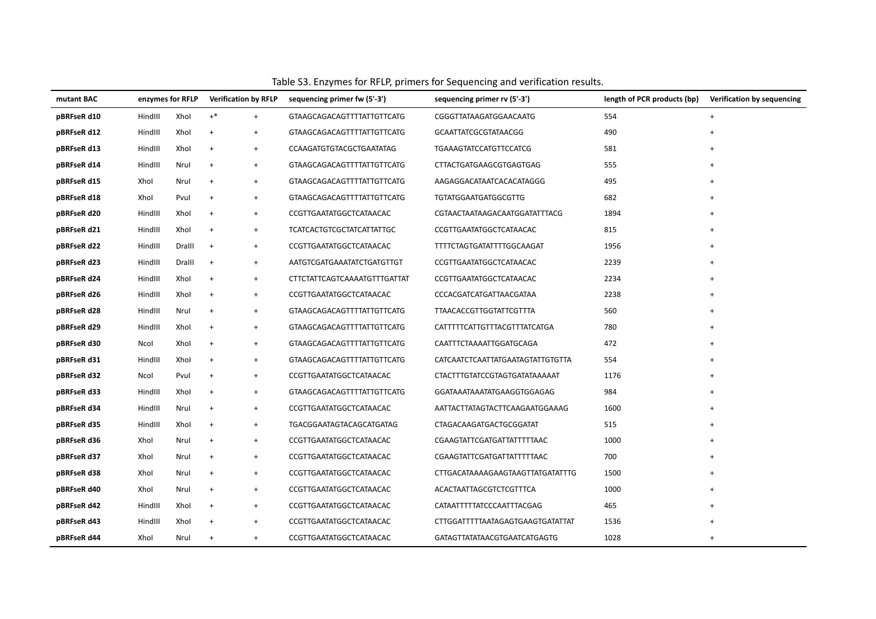| mutant BAC  |         | enzymes for RFLP |                                  | <b>Verification by RFLP</b> | sequencing primer fw (5'-3')        | sequencing primer rv (5'-3')         | length of PCR products (bp) | Verification by sequencing |
|-------------|---------|------------------|----------------------------------|-----------------------------|-------------------------------------|--------------------------------------|-----------------------------|----------------------------|
| pBRFseR d10 | HindIII | Xhol             | $+^*$                            | $+$                         | GTAAGCAGACAGTTTTATTGTTCATG          | CGGGTTATAAGATGGAACAATG               | 554                         | $+$                        |
| pBRFseR d12 | HindIII | Xhol             | $\ddot{}$                        | $+$                         | GTAAGCAGACAGTTTTATTGTTCATG          | <b>GCAATTATCGCGTATAACGG</b>          | 490                         | $+$                        |
| pBRFseR d13 | HindIII | Xhol             | $\,$ +                           | $\ddot{}$                   | CCAAGATGTGTACGCTGAATATAG            | <b>TGAAAGTATCCATGTTCCATCG</b>        | 581                         | $\ddot{}$                  |
| pBRFseR d14 | HindIII | Nrul             | $\begin{array}{c} + \end{array}$ | $+$                         | GTAAGCAGACAGTTTTATTGTTCATG          | CTTACTGATGAAGCGTGAGTGAG              | 555                         |                            |
| pBRFseR d15 | Xhol    | Nrul             | $\ddot{}$                        | $+$                         | GTAAGCAGACAGTTTTATTGTTCATG          | AAGAGGACATAATCACACATAGGG             | 495                         | $\ddot{}$                  |
| pBRFseR d18 | Xhol    | Pvul             | $\,$ +                           | $+$                         | GTAAGCAGACAGTTTTATTGTTCATG          | <b>TGTATGGAATGATGGCGTTG</b>          | 682                         | $+$                        |
| pBRFseR d20 | HindIII | Xhol             | $\ddot{}$                        | $+$                         | CCGTTGAATATGGCTCATAACAC             | CGTAACTAATAAGACAATGGATATTTACG        | 1894                        | $+$                        |
| pBRFseR d21 | HindIII | Xhol             | $\ddot{}$                        | $+$                         | <b>TCATCACTGTCGCTATCATTATTGC</b>    | CCGTTGAATATGGCTCATAACAC              | 815                         | $+$                        |
| pBRFseR d22 | HindIII | Dralll           | $\,$ +                           | $+$                         | CCGTTGAATATGGCTCATAACAC             | TTTTCTAGTGATATTTTGGCAAGAT            | 1956                        |                            |
| pBRFseR d23 | HindIII | Dralll           | $\ddot{}$                        | $+$                         | AATGTCGATGAAATATCTGATGTTGT          | CCGTTGAATATGGCTCATAACAC              | 2239                        | $+$                        |
| pBRFseR d24 | HindIII | Xhol             | $\,$ +                           | $+$                         | <b>CTTCTATTCAGTCAAAATGTTTGATTAT</b> | CCGTTGAATATGGCTCATAACAC              | 2234                        | $\ddot{}$                  |
| pBRFseR d26 | HindIII | Xhol             | $\ddot{}$                        | $\ddot{}$                   | CCGTTGAATATGGCTCATAACAC             | CCCACGATCATGATTAACGATAA              | 2238                        | $+$                        |
| pBRFseR d28 | HindIII | Nrul             | $\ddot{}$                        | $+$                         | GTAAGCAGACAGTTTTATTGTTCATG          | TTAACACCGTTGGTATTCGTTTA              | 560                         | $+$                        |
| pBRFseR d29 | HindIII | Xhol             | $\ddot{}$                        | $\ddot{}$                   | GTAAGCAGACAGTTTTATTGTTCATG          | CATTTTTCATTGTTTACGTTTATCATGA         | 780                         |                            |
| pBRFseR d30 | Ncol    | Xhol             | $\ddot{}$                        | $+$                         | GTAAGCAGACAGTTTTATTGTTCATG          | CAATTTCTAAAATTGGATGCAGA              | 472                         |                            |
| pBRFseR d31 | HindIII | Xhol             | $\ddot{}$                        | $+$                         | GTAAGCAGACAGTTTTATTGTTCATG          | CATCAATCTCAATTATGAATAGTATTGTGTTA     | 554                         | $\ddot{}$                  |
| pBRFseR d32 | Ncol    | Pvul             | $\,$ +                           | $+$                         | CCGTTGAATATGGCTCATAACAC             | <b>CTACTTTGTATCCGTAGTGATATAAAAAT</b> | 1176                        | $\ddot{}$                  |
| pBRFseR d33 | HindIII | Xhol             | $\,$ +                           | $+$                         | GTAAGCAGACAGTTTTATTGTTCATG          | GGATAAATAAATATGAAGGTGGAGAG           | 984                         |                            |
| pBRFseR d34 | HindIII | Nrul             | $\ddot{}$                        | $+$                         | CCGTTGAATATGGCTCATAACAC             | AATTACTTATAGTACTTCAAGAATGGAAAG       | 1600                        | $+$                        |
| pBRFseR d35 | HindIII | Xhol             | $\ddot{}$                        | $+$                         | <b>TGACGGAATAGTACAGCATGATAG</b>     | CTAGACAAGATGACTGCGGATAT              | 515                         |                            |
| pBRFseR d36 | Xhol    | Nrul             | $\,$ +                           | $+$                         | CCGTTGAATATGGCTCATAACAC             | CGAAGTATTCGATGATTATTTTTAAC           | 1000                        | $+$                        |
| pBRFseR d37 | Xhol    | Nrul             | $\ddot{}$                        | $+$                         | CCGTTGAATATGGCTCATAACAC             | CGAAGTATTCGATGATTATTTTTAAC           | 700                         | $+$                        |
| pBRFseR d38 | Xhol    | Nrul             | $\begin{array}{c} + \end{array}$ | $+$                         | CCGTTGAATATGGCTCATAACAC             | CTTGACATAAAAGAAGTAAGTTATGATATTTG     | 1500                        |                            |
| pBRFseR d40 | Xhol    | Nrul             | $\begin{array}{c} + \end{array}$ | $+$                         | CCGTTGAATATGGCTCATAACAC             | ACACTAATTAGCGTCTCGTTTCA              | 1000                        |                            |
| pBRFseR d42 | HindIII | Xhol             | $+$                              | $+$                         | CCGTTGAATATGGCTCATAACAC             | CATAATTTTTATCCCAATTTACGAG            | 465                         | $\ddot{}$                  |
| pBRFseR d43 | HindIII | Xhol             | $\begin{array}{c} + \end{array}$ | $+$                         | CCGTTGAATATGGCTCATAACAC             | CTTGGATTTTTAATAGAGTGAAGTGATATTAT     | 1536                        |                            |
| pBRFseR d44 | Xhol    | Nrul             | $\begin{array}{c} + \end{array}$ | $\ddot{}$                   | CCGTTGAATATGGCTCATAACAC             | GATAGTTATATAACGTGAATCATGAGTG         | 1028                        | $+$                        |

## Table S3. Enzymes for RFLP, primers for Sequencing and verification results.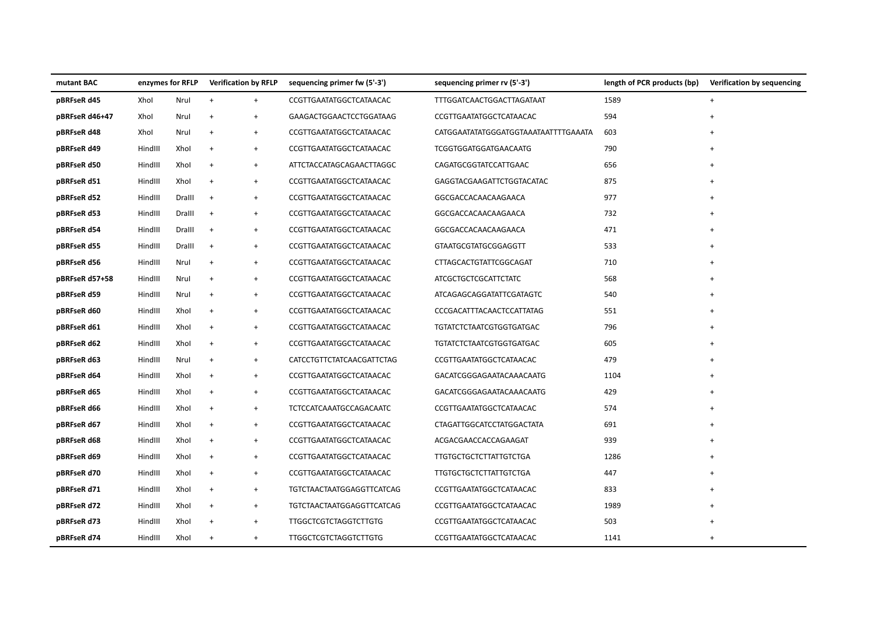| mutant BAC     | enzymes for RFLP |        |                   | <b>Verification by RFLP</b> | sequencing primer fw (5'-3')     | sequencing primer rv (5'-3')         | length of PCR products (bp) | Verification by sequencing |
|----------------|------------------|--------|-------------------|-----------------------------|----------------------------------|--------------------------------------|-----------------------------|----------------------------|
| pBRFseR d45    | Xhol             | Nrul   | $+$               | $\ddot{}$                   | CCGTTGAATATGGCTCATAACAC          | TTTGGATCAACTGGACTTAGATAAT            | 1589                        | $+$                        |
| pBRFseR d46+47 | Xhol             | Nrul   | $\ddot{}$         | $\overline{+}$              | GAAGACTGGAACTCCTGGATAAG          | CCGTTGAATATGGCTCATAACAC              | 594                         |                            |
| pBRFseR d48    | Xhol             | Nrul   | $+$               | $\ddot{}$                   | CCGTTGAATATGGCTCATAACAC          | CATGGAATATATGGGATGGTAAATAATTTTGAAATA | 603                         |                            |
| pBRFseR d49    | HindIII          | Xhol   | $\ddot{}$         | $\ddot{}$                   | CCGTTGAATATGGCTCATAACAC          | TCGGTGGATGGATGAACAATG                | 790                         |                            |
| pBRFseR d50    | HindIII          | Xhol   | $\ddot{}$         | $\ddot{}$                   | ATTCTACCATAGCAGAACTTAGGC         | CAGATGCGGTATCCATTGAAC                | 656                         | $\ddot{}$                  |
| pBRFseR d51    | HindIII          | Xhol   | $\ddot{}$         | $\ddot{}$                   | CCGTTGAATATGGCTCATAACAC          | GAGGTACGAAGATTCTGGTACATAC            | 875                         |                            |
| pBRFseR d52    | HindIII          | Dralll | $\overline{+}$    | $\ddot{}$                   | CCGTTGAATATGGCTCATAACAC          | GGCGACCACAACAAGAACA                  | 977                         |                            |
| pBRFseR d53    | HindIII          | Dralll | $\left. +\right.$ | $\overline{+}$              | CCGTTGAATATGGCTCATAACAC          | GGCGACCACAACAAGAACA                  | 732                         |                            |
| pBRFseR d54    | HindIII          | Dralll | $\overline{+}$    | $\ddot{}$                   | CCGTTGAATATGGCTCATAACAC          | GGCGACCACAACAAGAACA                  | 471                         |                            |
| pBRFseR d55    | HindIII          | Dralll | $\ddot{}$         | $\ddot{}$                   | CCGTTGAATATGGCTCATAACAC          | <b>GTAATGCGTATGCGGAGGTT</b>          | 533                         |                            |
| pBRFseR d56    | HindIII          | Nrul   | $\ddot{}$         | $^{+}$                      | CCGTTGAATATGGCTCATAACAC          | CTTAGCACTGTATTCGGCAGAT               | 710                         |                            |
| pBRFseR d57+58 | HindIII          | Nrul   | $+$               | $\ddot{}$                   | CCGTTGAATATGGCTCATAACAC          | <b>ATCGCTGCTCGCATTCTATC</b>          | 568                         | $\ddot{}$                  |
| pBRFseR d59    | HindIII          | Nrul   | $+$               | $\ddot{}$                   | CCGTTGAATATGGCTCATAACAC          | ATCAGAGCAGGATATTCGATAGTC             | 540                         |                            |
| pBRFseR d60    | HindIII          | Xhol   | $\ddot{}$         | $^{+}$                      | CCGTTGAATATGGCTCATAACAC          | CCCGACATTTACAACTCCATTATAG            | 551                         |                            |
| pBRFseR d61    | HindIII          | Xhol   | $\ddot{}$         | $\ddot{}$                   | CCGTTGAATATGGCTCATAACAC          | <b>TGTATCTCTAATCGTGGTGATGAC</b>      | 796                         |                            |
| pBRFseR d62    | HindIII          | Xhol   | $+$               | $\ddot{}$                   | CCGTTGAATATGGCTCATAACAC          | <b>TGTATCTCTAATCGTGGTGATGAC</b>      | 605                         |                            |
| pBRFseR d63    | HindIII          | Nrul   | $\ddot{}$         | $\ddot{}$                   | CATCCTGTTCTATCAACGATTCTAG        | CCGTTGAATATGGCTCATAACAC              | 479                         |                            |
| pBRFseR d64    | HindIII          | Xhol   | $\ddot{}$         | $\ddot{}$                   | CCGTTGAATATGGCTCATAACAC          | GACATCGGGAGAATACAAACAATG             | 1104                        |                            |
| pBRFseR d65    | HindIII          | Xhol   | $\ddot{}$         | $\ddot{}$                   | CCGTTGAATATGGCTCATAACAC          | GACATCGGGAGAATACAAACAATG             | 429                         | $\ddot{}$                  |
| pBRFseR d66    | HindIII          | Xhol   | $\ddot{}$         | $\ddot{}$                   | TCTCCATCAAATGCCAGACAATC          | CCGTTGAATATGGCTCATAACAC              | 574                         |                            |
| pBRFseR d67    | HindIII          | Xhol   | $\ddot{}$         | $\ddot{}$                   | CCGTTGAATATGGCTCATAACAC          | <b>CTAGATTGGCATCCTATGGACTATA</b>     | 691                         |                            |
| pBRFseR d68    | HindIII          | Xhol   | $\ddot{}$         | $\ddot{}$                   | CCGTTGAATATGGCTCATAACAC          | ACGACGAACCACCAGAAGAT                 | 939                         |                            |
| pBRFseR d69    | HindIII          | Xhol   | $\ddot{}$         | $\ddot{}$                   | CCGTTGAATATGGCTCATAACAC          | <b>TTGTGCTGCTCTTATTGTCTGA</b>        | 1286                        |                            |
| pBRFseR d70    | HindIII          | Xhol   | $\ddot{}$         | $\ddot{}$                   | CCGTTGAATATGGCTCATAACAC          | <b>TTGTGCTGCTCTTATTGTCTGA</b>        | 447                         |                            |
| pBRFseR d71    | HindIII          | Xhol   | $\ddot{}$         | $\ddot{}$                   | <b>TGTCTAACTAATGGAGGTTCATCAG</b> | CCGTTGAATATGGCTCATAACAC              | 833                         |                            |
| pBRFseR d72    | HindIII          | Xhol   | $+$               | $\ddot{}$                   | <b>TGTCTAACTAATGGAGGTTCATCAG</b> | CCGTTGAATATGGCTCATAACAC              | 1989                        | $\ddot{}$                  |
| pBRFseR d73    | HindIII          | Xhol   | $\ddot{}$         | $\ddot{}$                   | <b>TTGGCTCGTCTAGGTCTTGTG</b>     | CCGTTGAATATGGCTCATAACAC              | 503                         |                            |
| pBRFseR d74    | HindIII          | Xhol   | $\ddot{}$         | $\ddot{}$                   | <b>TTGGCTCGTCTAGGTCTTGTG</b>     | CCGTTGAATATGGCTCATAACAC              | 1141                        | $\overline{+}$             |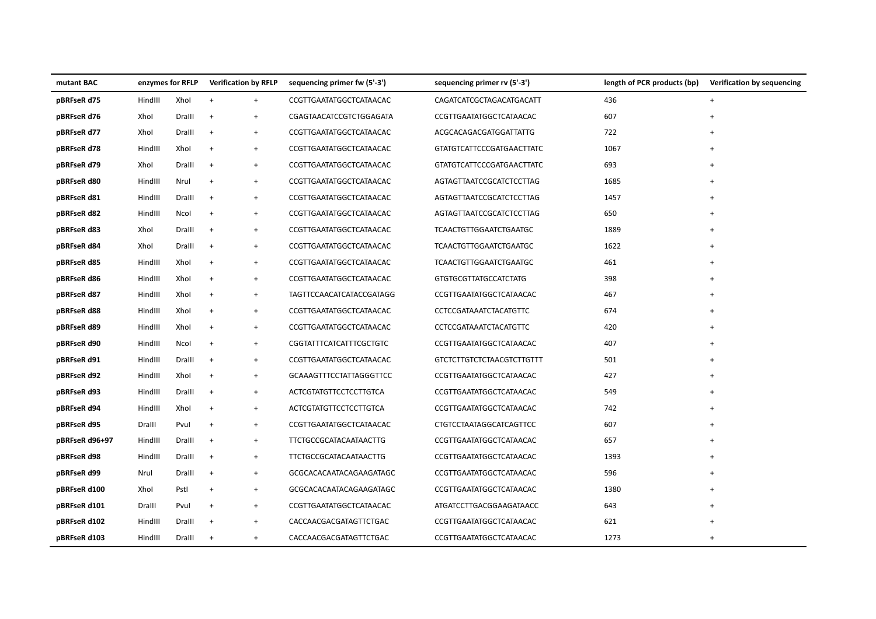| mutant BAC     |         | enzymes for RFLP |                                  | <b>Verification by RFLP</b>      | sequencing primer fw (5'-3')   | sequencing primer rv (5'-3')     | length of PCR products (bp) | Verification by sequencing |
|----------------|---------|------------------|----------------------------------|----------------------------------|--------------------------------|----------------------------------|-----------------------------|----------------------------|
| pBRFseR d75    | HindIII | Xhol             | $\ddot{}$                        | $+$                              | CCGTTGAATATGGCTCATAACAC        | CAGATCATCGCTAGACATGACATT         | 436                         | $\ddot{}$                  |
| pBRFseR d76    | Xhol    | Dralll           | $+$                              | $\ddot{}$                        | CGAGTAACATCCGTCTGGAGATA        | CCGTTGAATATGGCTCATAACAC          | 607                         | $\ddot{}$                  |
| pBRFseR d77    | Xhol    | Dralll           | $\ddot{}$                        | $\ddot{}$                        | CCGTTGAATATGGCTCATAACAC        | ACGCACAGACGATGGATTATTG           | 722                         |                            |
| pBRFseR d78    | HindIII | Xhol             | $\overline{+}$                   | $\ddot{}$                        | CCGTTGAATATGGCTCATAACAC        | <b>GTATGTCATTCCCGATGAACTTATC</b> | 1067                        |                            |
| pBRFseR d79    | Xhol    | Dralll           | $\ddot{}$                        | $+$                              | CCGTTGAATATGGCTCATAACAC        | <b>GTATGTCATTCCCGATGAACTTATC</b> | 693                         | $\ddot{}$                  |
| pBRFseR d80    | HindIII | Nrul             | $\ddot{}$                        | $\ddot{}$                        | CCGTTGAATATGGCTCATAACAC        | AGTAGTTAATCCGCATCTCCTTAG         | 1685                        | $\ddot{}$                  |
| pBRFseR d81    | HindIII | Dralll           | $\ddot{}$                        | $+$                              | CCGTTGAATATGGCTCATAACAC        | AGTAGTTAATCCGCATCTCCTTAG         | 1457                        | $\overline{+}$             |
| pBRFseR d82    | HindIII | Ncol             | $\ddot{}$                        | $\ddot{}$                        | CCGTTGAATATGGCTCATAACAC        | AGTAGTTAATCCGCATCTCCTTAG         | 650                         | $\overline{+}$             |
| pBRFseR d83    | Xhol    | Dralll           | $+$                              | $+$                              | CCGTTGAATATGGCTCATAACAC        | <b>TCAACTGTTGGAATCTGAATGC</b>    | 1889                        | $\ddot{}$                  |
| pBRFseR d84    | Xhol    | Dralll           | $\ddot{}$                        | $\ddot{}$                        | CCGTTGAATATGGCTCATAACAC        | <b>TCAACTGTTGGAATCTGAATGC</b>    | 1622                        |                            |
| pBRFseR d85    | HindIII | Xhol             | $\ddot{}$                        | $\ddot{}$                        | CCGTTGAATATGGCTCATAACAC        | <b>TCAACTGTTGGAATCTGAATGC</b>    | 461                         |                            |
| pBRFseR d86    | HindIII | Xhol             | $\ddot{}$                        | $\ddot{}$                        | CCGTTGAATATGGCTCATAACAC        | <b>GTGTGCGTTATGCCATCTATG</b>     | 398                         |                            |
| pBRFseR d87    | HindIII | Xhol             | $\ddot{}$                        | $\ddot{}$                        | TAGTTCCAACATCATACCGATAGG       | CCGTTGAATATGGCTCATAACAC          | 467                         |                            |
| pBRFseR d88    | HindIII | Xhol             | $\begin{array}{c} + \end{array}$ | $\ddot{}$                        | CCGTTGAATATGGCTCATAACAC        | CCTCCGATAAATCTACATGTTC           | 674                         |                            |
| pBRFseR d89    | HindIII | Xhol             | $\ddot{}$                        | $\ddot{}$                        | CCGTTGAATATGGCTCATAACAC        | CCTCCGATAAATCTACATGTTC           | 420                         | $\ddot{}$                  |
| pBRFseR d90    | HindIII | Ncol             | $\ddot{}$                        | $+$                              | CGGTATTTCATCATTTCGCTGTC        | CCGTTGAATATGGCTCATAACAC          | 407                         |                            |
| pBRFseR d91    | HindIII | Dralll           | $\,$ +                           | $\ddot{}$                        | CCGTTGAATATGGCTCATAACAC        | <b>GTCTCTTGTCTCTAACGTCTTGTTT</b> | 501                         |                            |
| pBRFseR d92    | HindIII | Xhol             | $\begin{array}{c} + \end{array}$ | $\ddot{}$                        | <b>GCAAAGTTTCCTATTAGGGTTCC</b> | CCGTTGAATATGGCTCATAACAC          | 427                         |                            |
| pBRFseR d93    | HindIII | Dralll           | $\ddot{}$                        | $\ddot{}$                        | <b>ACTCGTATGTTCCTCCTTGTCA</b>  | CCGTTGAATATGGCTCATAACAC          | 549                         |                            |
| pBRFseR d94    | HindIII | Xhol             | $\begin{array}{c} + \end{array}$ | $\begin{array}{c} + \end{array}$ | <b>ACTCGTATGTTCCTCCTTGTCA</b>  | CCGTTGAATATGGCTCATAACAC          | 742                         |                            |
| pBRFseR d95    | Dralll  | Pvul             | $\ddot{}$                        | $+$                              | CCGTTGAATATGGCTCATAACAC        | CTGTCCTAATAGGCATCAGTTCC          | 607                         | $\ddot{}$                  |
| pBRFseR d96+97 | HindIII | Dralll           | $\ddot{}$                        | $\ddot{}$                        | TTCTGCCGCATACAATAACTTG         | CCGTTGAATATGGCTCATAACAC          | 657                         | $\ddot{}$                  |
| pBRFseR d98    | HindIII | Dralll           | $+$                              | $+$                              | TTCTGCCGCATACAATAACTTG         | CCGTTGAATATGGCTCATAACAC          | 1393                        | $\ddot{}$                  |
| pBRFseR d99    | Nrul    | Dralll           | $\ddot{}$                        | $\ddot{}$                        | GCGCACACAATACAGAAGATAGC        | CCGTTGAATATGGCTCATAACAC          | 596                         |                            |
| pBRFseR d100   | Xhol    | Pstl             | $\ddot{}$                        | $\ddot{}$                        | GCGCACACAATACAGAAGATAGC        | CCGTTGAATATGGCTCATAACAC          | 1380                        |                            |
| pBRFseR d101   | Dralll  | Pvul             | $\ddot{}$                        | $+$                              | CCGTTGAATATGGCTCATAACAC        | ATGATCCTTGACGGAAGATAACC          | 643                         | $\ddot{}$                  |
| pBRFseR d102   | HindIII | Dralll           | $\ddot{}$                        | $+$                              | CACCAACGACGATAGTTCTGAC         | CCGTTGAATATGGCTCATAACAC          | 621                         | $\ddot{}$                  |
| pBRFseR d103   | HindIII | Dralll           | $\overline{+}$                   | $\ddot{}$                        | CACCAACGACGATAGTTCTGAC         | CCGTTGAATATGGCTCATAACAC          | 1273                        | $\overline{+}$             |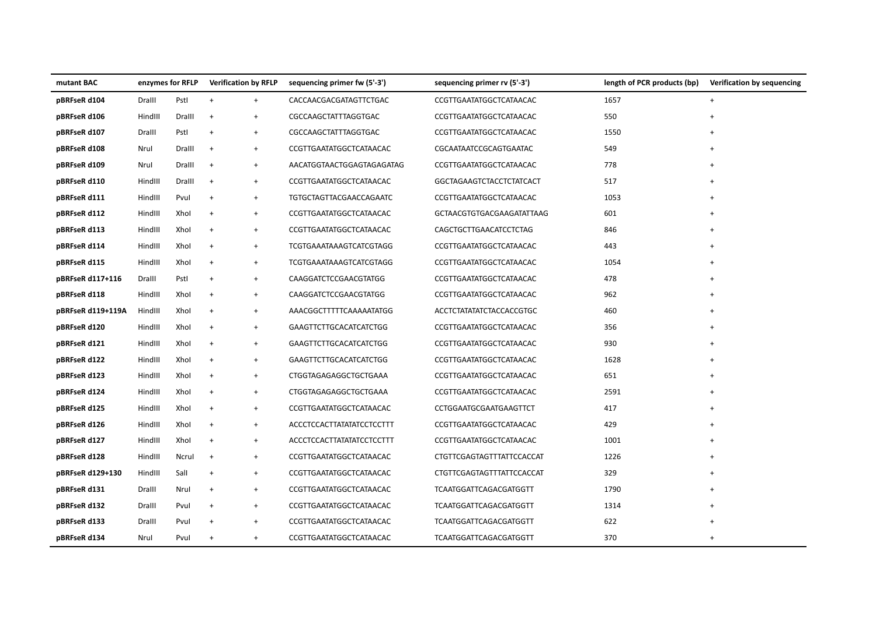| mutant BAC        | enzymes for RFLP |        | <b>Verification by RFLP</b>      |           | sequencing primer fw (5'-3')     | sequencing primer rv (5'-3')    | length of PCR products (bp) | Verification by sequencing |
|-------------------|------------------|--------|----------------------------------|-----------|----------------------------------|---------------------------------|-----------------------------|----------------------------|
| pBRFseR d104      | Dralll           | Pstl   | $+$                              | $+$       | CACCAACGACGATAGTTCTGAC           | CCGTTGAATATGGCTCATAACAC         | 1657                        | $\ddot{}$                  |
| pBRFseR d106      | HindIII          | Dralll | $+$                              | $\ddot{}$ | CGCCAAGCTATTTAGGTGAC             | CCGTTGAATATGGCTCATAACAC         | 550                         | $\ddot{}$                  |
| pBRFseR d107      | Dralll           | Pstl   | $\ddot{}$                        | $\ddot{}$ | CGCCAAGCTATTTAGGTGAC             | CCGTTGAATATGGCTCATAACAC         | 1550                        |                            |
| pBRFseR d108      | Nrul             | Dralll | $\overline{+}$                   | $\ddot{}$ | CCGTTGAATATGGCTCATAACAC          | CGCAATAATCCGCAGTGAATAC          | 549                         | $\ddot{}$                  |
| pBRFseR d109      | Nrul             | Dralll | $\ddot{}$                        | $+$       | AACATGGTAACTGGAGTAGAGATAG        | CCGTTGAATATGGCTCATAACAC         | 778                         | $\ddot{}$                  |
| pBRFseR d110      | HindIII          | Dralll | $\ddot{}$                        | $\ddot{}$ | CCGTTGAATATGGCTCATAACAC          | GGCTAGAAGTCTACCTCTATCACT        | 517                         | $\overline{+}$             |
| pBRFseR d111      | HindIII          | Pvul   | $\ddot{}$                        | $+$       | TGTGCTAGTTACGAACCAGAATC          | CCGTTGAATATGGCTCATAACAC         | 1053                        | $\overline{+}$             |
| pBRFseR d112      | HindIII          | Xhol   | $\ddot{}$                        | $\ddot{}$ | CCGTTGAATATGGCTCATAACAC          | GCTAACGTGTGACGAAGATATTAAG       | 601                         | $\overline{+}$             |
| pBRFseR d113      | HindIII          | Xhol   | $\ddot{}$                        | $+$       | CCGTTGAATATGGCTCATAACAC          | CAGCTGCTTGAACATCCTCTAG          | 846                         | $\overline{+}$             |
| pBRFseR d114      | HindIII          | Xhol   | $\ddot{}$                        | $\ddot{}$ | <b>TCGTGAAATAAAGTCATCGTAGG</b>   | CCGTTGAATATGGCTCATAACAC         | 443                         |                            |
| pBRFseR d115      | HindIII          | Xhol   | $\ddot{}$                        | $\ddot{}$ | <b>TCGTGAAATAAAGTCATCGTAGG</b>   | CCGTTGAATATGGCTCATAACAC         | 1054                        |                            |
| pBRFseR d117+116  | Dralll           | Pstl   | $\ddot{}$                        | $\ddot{}$ | CAAGGATCTCCGAACGTATGG            | CCGTTGAATATGGCTCATAACAC         | 478                         |                            |
| pBRFseR d118      | HindIII          | Xhol   | $\ddot{}$                        | $\ddot{}$ | CAAGGATCTCCGAACGTATGG            | CCGTTGAATATGGCTCATAACAC         | 962                         |                            |
| pBRFseR d119+119A | HindIII          | Xhol   | $\begin{array}{c} + \end{array}$ | $\ddot{}$ | AAACGGCTTTTTCAAAAATATGG          | <b>ACCTCTATATATCTACCACCGTGC</b> | 460                         |                            |
| pBRFseR d120      | HindIII          | Xhol   | $\ddot{}$                        | $+$       | GAAGTTCTTGCACATCATCTGG           | CCGTTGAATATGGCTCATAACAC         | 356                         | $\ddot{}$                  |
| pBRFseR d121      | HindIII          | Xhol   | $\begin{array}{c} + \end{array}$ | $+$       | GAAGTTCTTGCACATCATCTGG           | CCGTTGAATATGGCTCATAACAC         | 930                         | $\ddot{}$                  |
| pBRFseR d122      | HindIII          | Xhol   | $\begin{array}{c} + \end{array}$ | $\ddot{}$ | GAAGTTCTTGCACATCATCTGG           | CCGTTGAATATGGCTCATAACAC         | 1628                        |                            |
| pBRFseR d123      | HindIII          | Xhol   | $\begin{array}{c} + \end{array}$ | $\ddot{}$ | CTGGTAGAGAGGCTGCTGAAA            | CCGTTGAATATGGCTCATAACAC         | 651                         |                            |
| pBRFseR d124      | HindIII          | Xhol   | $\ddot{}$                        | $\ddot{}$ | CTGGTAGAGAGGCTGCTGAAA            | CCGTTGAATATGGCTCATAACAC         | 2591                        |                            |
| pBRFseR d125      | HindIII          | Xhol   | $\begin{array}{c} + \end{array}$ | $\ddot{}$ | CCGTTGAATATGGCTCATAACAC          | CCTGGAATGCGAATGAAGTTCT          | 417                         | $\ddot{}$                  |
| pBRFseR d126      | HindIII          | Xhol   | $\ddot{}$                        | $+$       | <b>ACCCTCCACTTATATATCCTCCTTT</b> | CCGTTGAATATGGCTCATAACAC         | 429                         | $\ddot{}$                  |
| pBRFseR d127      | HindIII          | Xhol   | $\ddot{}$                        | $+$       | <b>ACCCTCCACTTATATATCCTCCTTT</b> | CCGTTGAATATGGCTCATAACAC         | 1001                        | $\ddot{}$                  |
| pBRFseR d128      | HindIII          | Ncrul  | $+$                              | $+$       | CCGTTGAATATGGCTCATAACAC          | CTGTTCGAGTAGTTTATTCCACCAT       | 1226                        | $\ddot{}$                  |
| pBRFseR d129+130  | HindIII          | Sall   | $\ddot{}$                        | $\ddot{}$ | CCGTTGAATATGGCTCATAACAC          | CTGTTCGAGTAGTTTATTCCACCAT       | 329                         |                            |
| pBRFseR d131      | Dralll           | Nrul   | $\ddot{}$                        | $\ddot{}$ | CCGTTGAATATGGCTCATAACAC          | TCAATGGATTCAGACGATGGTT          | 1790                        |                            |
| pBRFseR d132      | Dralll           | Pvul   | $\ddot{}$                        | $+$       | CCGTTGAATATGGCTCATAACAC          | <b>TCAATGGATTCAGACGATGGTT</b>   | 1314                        | $\ddot{}$                  |
| pBRFseR d133      | Dralll           | Pvul   | $\ddot{}$                        | $+$       | CCGTTGAATATGGCTCATAACAC          | TCAATGGATTCAGACGATGGTT          | 622                         | $\ddot{}$                  |
| pBRFseR d134      | Nrul             | Pvul   | $\ddot{}$                        | $\ddot{}$ | CCGTTGAATATGGCTCATAACAC          | <b>TCAATGGATTCAGACGATGGTT</b>   | 370                         | $\overline{+}$             |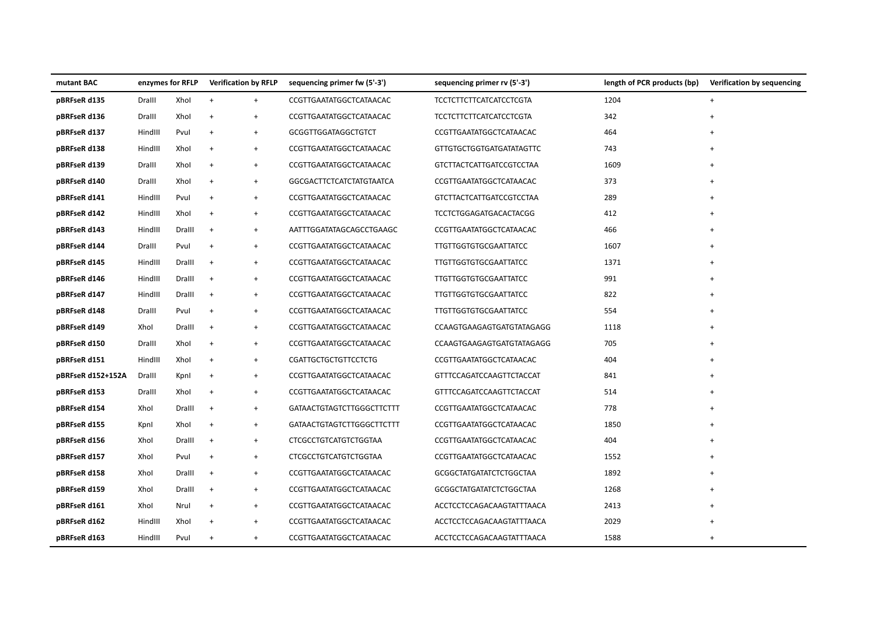| mutant BAC        | enzymes for RFLP |        | <b>Verification by RFLP</b>      |           | sequencing primer fw (5'-3')    | sequencing primer rv (5'-3')    | length of PCR products (bp) | Verification by sequencing |
|-------------------|------------------|--------|----------------------------------|-----------|---------------------------------|---------------------------------|-----------------------------|----------------------------|
| pBRFseR d135      | Dralll           | Xhol   | $\ddot{}$                        | $+$       | CCGTTGAATATGGCTCATAACAC         | <b>TCCTCTTCTTCATCATCCTCGTA</b>  | 1204                        | $\ddot{}$                  |
| pBRFseR d136      | Dralll           | Xhol   | $\ddot{}$                        | $\ddot{}$ | CCGTTGAATATGGCTCATAACAC         | <b>TCCTCTTCTTCATCATCCTCGTA</b>  | 342                         | $\ddot{}$                  |
| pBRFseR d137      | HindIII          | Pvul   | $\ddot{}$                        | $\ddot{}$ | GCGGTTGGATAGGCTGTCT             | CCGTTGAATATGGCTCATAACAC         | 464                         |                            |
| pBRFseR d138      | HindIII          | Xhol   | $\ddot{}$                        | $\ddot{}$ | CCGTTGAATATGGCTCATAACAC         | <b>GTTGTGCTGGTGATGATATAGTTC</b> | 743                         | $\ddot{}$                  |
| pBRFseR d139      | Dralll           | Xhol   | $\ddot{}$                        | $+$       | CCGTTGAATATGGCTCATAACAC         | <b>GTCTTACTCATTGATCCGTCCTAA</b> | 1609                        | $\ddot{}$                  |
| pBRFseR d140      | Dralll           | Xhol   | $\ddot{}$                        | $+$       | <b>GGCGACTTCTCATCTATGTAATCA</b> | CCGTTGAATATGGCTCATAACAC         | 373                         | $\ddot{}$                  |
| pBRFseR d141      | HindIII          | Pvul   | $\ddot{}$                        | $+$       | CCGTTGAATATGGCTCATAACAC         | <b>GTCTTACTCATTGATCCGTCCTAA</b> | 289                         | $\ddot{}$                  |
| pBRFseR d142      | HindIII          | Xhol   | $\ddot{}$                        | $\ddot{}$ | CCGTTGAATATGGCTCATAACAC         | TCCTCTGGAGATGACACTACGG          | 412                         | $\overline{+}$             |
| pBRFseR d143      | HindIII          | Dralll | $+$                              | $+$       | AATTTGGATATAGCAGCCTGAAGC        | CCGTTGAATATGGCTCATAACAC         | 466                         | $\overline{+}$             |
| pBRFseR d144      | Dralll           | Pvul   | $\ddot{}$                        | $\ddot{}$ | CCGTTGAATATGGCTCATAACAC         | <b>TTGTTGGTGTGCGAATTATCC</b>    | 1607                        |                            |
| pBRFseR d145      | HindIII          | Dralll | $\ddot{}$                        | $\ddot{}$ | CCGTTGAATATGGCTCATAACAC         | <b>TTGTTGGTGTGCGAATTATCC</b>    | 1371                        | $\ddot{}$                  |
| pBRFseR d146      | HindIII          | Dralll | $\ddot{}$                        | $+$       | CCGTTGAATATGGCTCATAACAC         | <b>TTGTTGGTGTGCGAATTATCC</b>    | 991                         |                            |
| pBRFseR d147      | HindIII          | Dralll | $\ddot{}$                        | $\ddot{}$ | CCGTTGAATATGGCTCATAACAC         | <b>TTGTTGGTGTGCGAATTATCC</b>    | 822                         |                            |
| pBRFseR d148      | Dralll           | Pvul   | $\begin{array}{c} + \end{array}$ | $\ddot{}$ | CCGTTGAATATGGCTCATAACAC         | <b>TTGTTGGTGTGCGAATTATCC</b>    | 554                         | $\ddot{}$                  |
| pBRFseR d149      | Xhol             | Dralll | $+$                              | $+$       | CCGTTGAATATGGCTCATAACAC         | CCAAGTGAAGAGTGATGTATAGAGG       | 1118                        | $\ddot{}$                  |
| pBRFseR d150      | Dralll           | Xhol   | $\begin{array}{c} + \end{array}$ | $+$       | CCGTTGAATATGGCTCATAACAC         | CCAAGTGAAGAGTGATGTATAGAGG       | 705                         | $\ddot{}$                  |
| pBRFseR d151      | HindIII          | Xhol   | $\begin{array}{c} + \end{array}$ | $\ddot{}$ | <b>CGATTGCTGCTGTTCCTCTG</b>     | CCGTTGAATATGGCTCATAACAC         | 404                         |                            |
| pBRFseR d152+152A | Dralll           | Kpnl   | $\begin{array}{c} + \end{array}$ | $\ddot{}$ | CCGTTGAATATGGCTCATAACAC         | GTTTCCAGATCCAAGTTCTACCAT        | 841                         |                            |
| pBRFseR d153      | Dralll           | Xhol   | $\ddot{}$                        | $\ddot{}$ | CCGTTGAATATGGCTCATAACAC         | <b>GTTTCCAGATCCAAGTTCTACCAT</b> | 514                         |                            |
| pBRFseR d154      | Xhol             | Dralll | $\,$ +                           | $\ddot{}$ | GATAACTGTAGTCTTGGGCTTCTTT       | CCGTTGAATATGGCTCATAACAC         | 778                         | $\ddot{}$                  |
| pBRFseR d155      | Kpnl             | Xhol   | $\ddot{}$                        | $+$       | GATAACTGTAGTCTTGGGCTTCTTT       | CCGTTGAATATGGCTCATAACAC         | 1850                        | $\ddot{}$                  |
| pBRFseR d156      | Xhol             | Dralll | $\ddot{}$                        | $+$       | <b>CTCGCCTGTCATGTCTGGTAA</b>    | CCGTTGAATATGGCTCATAACAC         | 404                         | $\overline{+}$             |
| pBRFseR d157      | Xhol             | Pvul   | $\ddot{}$                        | $+$       | <b>CTCGCCTGTCATGTCTGGTAA</b>    | CCGTTGAATATGGCTCATAACAC         | 1552                        | $\ddot{}$                  |
| pBRFseR d158      | Xhol             | Dralll | $\ddot{}$                        | $\ddot{}$ | CCGTTGAATATGGCTCATAACAC         | <b>GCGGCTATGATATCTCTGGCTAA</b>  | 1892                        |                            |
| pBRFseR d159      | Xhol             | Dralll | $\ddot{}$                        | $\ddot{}$ | CCGTTGAATATGGCTCATAACAC         | <b>GCGGCTATGATATCTCTGGCTAA</b>  | 1268                        |                            |
| pBRFseR d161      | Xhol             | Nrul   | $\ddot{}$                        | $+$       | CCGTTGAATATGGCTCATAACAC         | ACCTCCTCCAGACAAGTATTTAACA       | 2413                        | $\ddot{}$                  |
| pBRFseR d162      | HindIII          | Xhol   | $\ddot{}$                        | $+$       | CCGTTGAATATGGCTCATAACAC         | ACCTCCTCCAGACAAGTATTTAACA       | 2029                        | $\ddot{}$                  |
| pBRFseR d163      | HindIII          | Pvul   | $\ddot{}$                        | $\ddot{}$ | CCGTTGAATATGGCTCATAACAC         | ACCTCCTCCAGACAAGTATTTAACA       | 1588                        | $\overline{+}$             |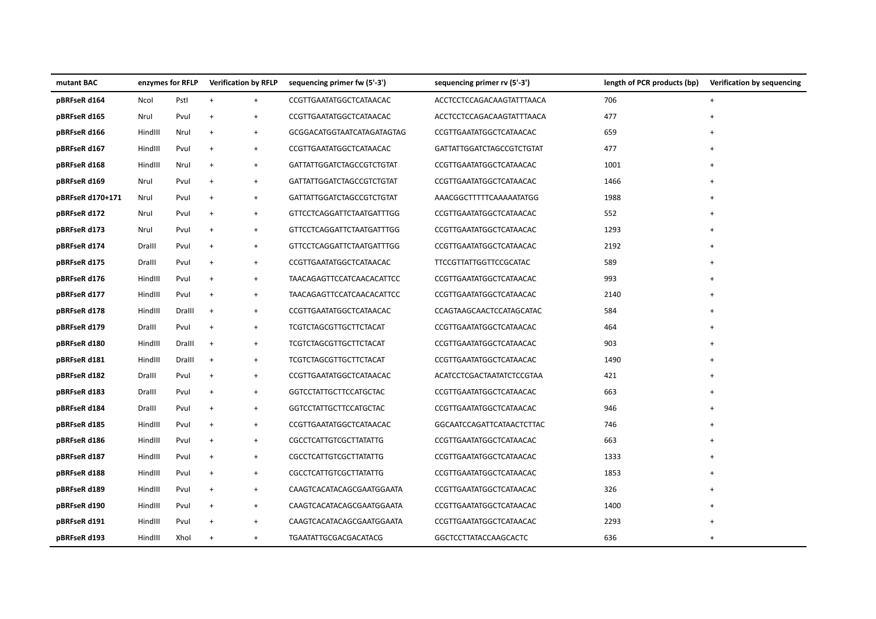| mutant BAC       | enzymes for RFLP |        | <b>Verification by RFLP</b>      |                                  | sequencing primer fw (5'-3')      | sequencing primer rv (5'-3')  | length of PCR products (bp) | Verification by sequencing |
|------------------|------------------|--------|----------------------------------|----------------------------------|-----------------------------------|-------------------------------|-----------------------------|----------------------------|
| pBRFseR d164     | Ncol             | Pstl   | $\ddot{}$                        | $\ddot{}$                        | CCGTTGAATATGGCTCATAACAC           | ACCTCCTCCAGACAAGTATTTAACA     | 706                         | $+$                        |
| pBRFseR d165     | Nrul             | Pvul   | $\begin{array}{c} + \end{array}$ | $^{\mathrm{+}}$                  | CCGTTGAATATGGCTCATAACAC           | ACCTCCTCCAGACAAGTATTTAACA     | 477                         |                            |
| pBRFseR d166     | HindIII          | Nrul   | $+$                              | $\begin{array}{c} + \end{array}$ | <b>GCGGACATGGTAATCATAGATAGTAG</b> | CCGTTGAATATGGCTCATAACAC       | 659                         | $\ddot{}$                  |
| pBRFseR d167     | HindIII          | Pvul   | $+$                              | $\ddot{}$                        | CCGTTGAATATGGCTCATAACAC           | GATTATTGGATCTAGCCGTCTGTAT     | 477                         |                            |
| pBRFseR d168     | HindIII          | Nrul   | $\begin{array}{c} + \end{array}$ | $\ddot{}$                        | <b>GATTATTGGATCTAGCCGTCTGTAT</b>  | CCGTTGAATATGGCTCATAACAC       | 1001                        | $\overline{+}$             |
| pBRFseR d169     | Nrul             | Pvul   | $\ddot{}$                        | $\begin{array}{c} + \end{array}$ | <b>GATTATTGGATCTAGCCGTCTGTAT</b>  | CCGTTGAATATGGCTCATAACAC       | 1466                        |                            |
| pBRFseR d170+171 | Nrul             | Pvul   | $\ddot{}$                        | $\begin{array}{c} + \end{array}$ | <b>GATTATTGGATCTAGCCGTCTGTAT</b>  | AAACGGCTTTTTCAAAAATATGG       | 1988                        |                            |
| pBRFseR d172     | Nrul             | Pvul   | $\ddot{}$                        | $\ddot{}$                        | <b>GTTCCTCAGGATTCTAATGATTTGG</b>  | CCGTTGAATATGGCTCATAACAC       | 552                         | $\ddot{}$                  |
| pBRFseR d173     | Nrul             | Pvul   | $+$                              | $+$                              | <b>GTTCCTCAGGATTCTAATGATTTGG</b>  | CCGTTGAATATGGCTCATAACAC       | 1293                        |                            |
| pBRFseR d174     | Dralll           | Pvul   | $\ddot{}$                        | $\ddot{}$                        | <b>GTTCCTCAGGATTCTAATGATTTGG</b>  | CCGTTGAATATGGCTCATAACAC       | 2192                        |                            |
| pBRFseR d175     | Dralll           | Pvul   | $\begin{array}{c} + \end{array}$ | $^{\mathrm{+}}$                  | CCGTTGAATATGGCTCATAACAC           | <b>TTCCGTTATTGGTTCCGCATAC</b> | 589                         |                            |
| pBRFseR d176     | HindIII          | Pvul   | $+$                              | $+$                              | <b>TAACAGAGTTCCATCAACACATTCC</b>  | CCGTTGAATATGGCTCATAACAC       | 993                         | $\ddot{}$                  |
| pBRFseR d177     | HindIII          | Pvul   | $\ddot{}$                        | $\begin{array}{c} + \end{array}$ | <b>TAACAGAGTTCCATCAACACATTCC</b>  | CCGTTGAATATGGCTCATAACAC       | 2140                        |                            |
| pBRFseR d178     | HindIII          | Dralll | $^{+}$                           | $\ddot{}$                        | CCGTTGAATATGGCTCATAACAC           | CCAGTAAGCAACTCCATAGCATAC      | 584                         |                            |
| pBRFseR d179     | Dralll           | Pvul   | $\ddot{}$                        | $\begin{array}{c} + \end{array}$ | <b>TCGTCTAGCGTTGCTTCTACAT</b>     | CCGTTGAATATGGCTCATAACAC       | 464                         |                            |
| pBRFseR d180     | HindIII          | Dralll | $+$                              | $\begin{array}{c} + \end{array}$ | <b>TCGTCTAGCGTTGCTTCTACAT</b>     | CCGTTGAATATGGCTCATAACAC       | 903                         |                            |
| pBRFseR d181     | HindIII          | Dralll | $\ddot{}$                        | $\ddot{}$                        | <b>TCGTCTAGCGTTGCTTCTACAT</b>     | CCGTTGAATATGGCTCATAACAC       | 1490                        |                            |
| pBRFseR d182     | Dralll           | Pvul   | $\ddot{}$                        | $^{\mathrm{+}}$                  | CCGTTGAATATGGCTCATAACAC           | ACATCCTCGACTAATATCTCCGTAA     | 421                         |                            |
| pBRFseR d183     | Dralll           | Pvul   | $^{+}$                           | $^{+}$                           | <b>GGTCCTATTGCTTCCATGCTAC</b>     | CCGTTGAATATGGCTCATAACAC       | 663                         | $+$                        |
| pBRFseR d184     | Dralll           | Pvul   | $^{+}$                           | $\ddot{}$                        | <b>GGTCCTATTGCTTCCATGCTAC</b>     | CCGTTGAATATGGCTCATAACAC       | 946                         |                            |
| pBRFseR d185     | HindIII          | Pvul   | $^{+}$                           | $\ddot{}$                        | CCGTTGAATATGGCTCATAACAC           | GGCAATCCAGATTCATAACTCTTAC     | 746                         |                            |
| pBRFseR d186     | HindIII          | Pvul   | $^{+}$                           | $\begin{array}{c} + \end{array}$ | <b>CGCCTCATTGTCGCTTATATTG</b>     | CCGTTGAATATGGCTCATAACAC       | 663                         |                            |
| pBRFseR d187     | HindIII          | Pvul   | $\ddot{}$                        | $\ddot{}$                        | <b>CGCCTCATTGTCGCTTATATTG</b>     | CCGTTGAATATGGCTCATAACAC       | 1333                        |                            |
| pBRFseR d188     | HindIII          | Pvul   | $\ddot{}$                        | $^{\mathrm{+}}$                  | <b>CGCCTCATTGTCGCTTATATTG</b>     | CCGTTGAATATGGCTCATAACAC       | 1853                        |                            |
| pBRFseR d189     | HindIII          | Pvul   | $\ddot{}$                        | $\begin{array}{c} + \end{array}$ | CAAGTCACATACAGCGAATGGAATA         | CCGTTGAATATGGCTCATAACAC       | 326                         |                            |
| pBRFseR d190     | HindIII          | Pvul   | $^{+}$                           | $^{+}$                           | CAAGTCACATACAGCGAATGGAATA         | CCGTTGAATATGGCTCATAACAC       | 1400                        | $^{+}$                     |
| pBRFseR d191     | HindIII          | Pvul   | $\ddot{}$                        | $^{\mathrm{+}}$                  | CAAGTCACATACAGCGAATGGAATA         | CCGTTGAATATGGCTCATAACAC       | 2293                        |                            |
| pBRFseR d193     | HindIII          | Xhol   | $\ddot{}$                        | $\begin{array}{c} + \end{array}$ | <b>TGAATATTGCGACGACATACG</b>      | <b>GGCTCCTTATACCAAGCACTC</b>  | 636                         | $\ddot{}$                  |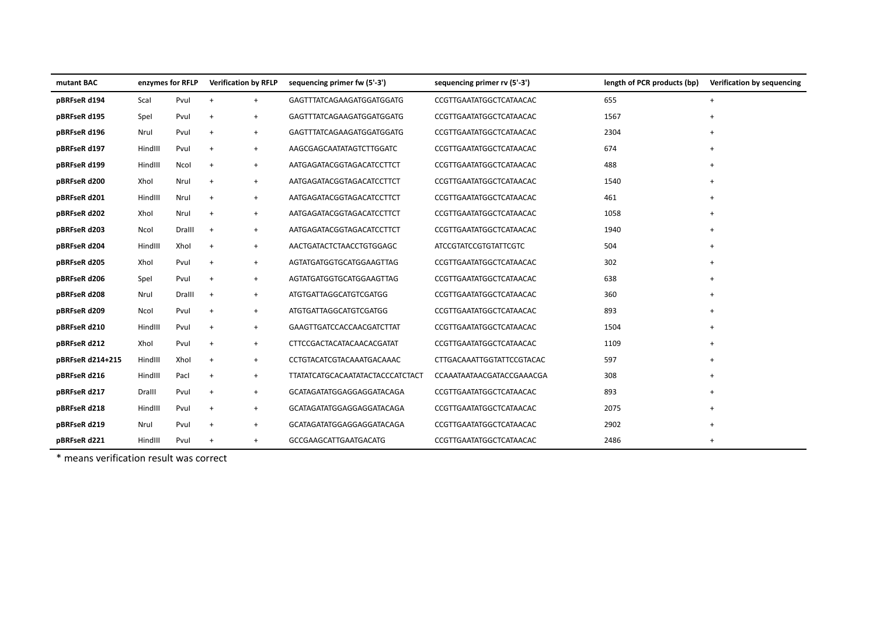| mutant BAC       | enzymes for RFLP |        | <b>Verification by RFLP</b> |                                  | sequencing primer fw (5'-3')            | sequencing primer rv (5'-3') | length of PCR products (bp) | Verification by sequencing |
|------------------|------------------|--------|-----------------------------|----------------------------------|-----------------------------------------|------------------------------|-----------------------------|----------------------------|
| pBRFseR d194     | Scal             | Pvul   | $+$                         | $+$                              | GAGTTTATCAGAAGATGGATGGATG               | CCGTTGAATATGGCTCATAACAC      | 655                         | $+$                        |
| pBRFseR d195     | Spel             | Pvul   | $+$                         | $\begin{array}{c} + \end{array}$ | GAGTTTATCAGAAGATGGATGGATG               | CCGTTGAATATGGCTCATAACAC      | 1567                        | $+$                        |
| pBRFseR d196     | Nrul             | Pvul   | $\ddot{}$                   | $+$                              | GAGTTTATCAGAAGATGGATGGATG               | CCGTTGAATATGGCTCATAACAC      | 2304                        | $\ddot{}$                  |
| pBRFseR d197     | HindIII          | Pvul   | $\ddot{}$                   | $+$                              | AAGCGAGCAATATAGTCTTGGATC                | CCGTTGAATATGGCTCATAACAC      | 674                         | $+$                        |
| pBRFseR d199     | HindIII          | Ncol   | $^{+}$                      | $^{+}$                           | AATGAGATACGGTAGACATCCTTCT               | CCGTTGAATATGGCTCATAACAC      | 488                         | $\ddot{}$                  |
| pBRFseR d200     | Xhol             | Nrul   | $+$                         | $+$                              | AATGAGATACGGTAGACATCCTTCT               | CCGTTGAATATGGCTCATAACAC      | 1540                        |                            |
| pBRFseR d201     | HindIII          | Nrul   | $+$                         | $\ddot{}$                        | AATGAGATACGGTAGACATCCTTCT               | CCGTTGAATATGGCTCATAACAC      | 461                         | $+$                        |
| pBRFseR d202     | Xhol             | Nrul   | $+$                         | $^{+}$                           | AATGAGATACGGTAGACATCCTTCT               | CCGTTGAATATGGCTCATAACAC      | 1058                        | $\ddot{}$                  |
| pBRFseR d203     | Ncol             | Dralll | $+$                         | $+$                              | AATGAGATACGGTAGACATCCTTCT               | CCGTTGAATATGGCTCATAACAC      | 1940                        | $\ddot{}$                  |
| pBRFseR d204     | HindIII          | Xhol   | $\overline{+}$              | $+$                              | AACTGATACTCTAACCTGTGGAGC                | <b>ATCCGTATCCGTGTATTCGTC</b> | 504                         | $\ddot{}$                  |
| pBRFseR d205     | Xhol             | Pvul   | $\ddot{}$                   | $\ddot{}$                        | AGTATGATGGTGCATGGAAGTTAG                | CCGTTGAATATGGCTCATAACAC      | 302                         |                            |
| pBRFseR d206     | Spel             | Pvul   | $\overline{+}$              | $\ddot{}$                        | AGTATGATGGTGCATGGAAGTTAG                | CCGTTGAATATGGCTCATAACAC      | 638                         | $\ddot{}$                  |
| pBRFseR d208     | Nrul             | Dralll | $+$                         | $+$                              | <b>ATGTGATTAGGCATGTCGATGG</b>           | CCGTTGAATATGGCTCATAACAC      | 360                         | $+$                        |
| pBRFseR d209     | Ncol             | Pvul   | $\ddot{}$                   | $+$                              | ATGTGATTAGGCATGTCGATGG                  | CCGTTGAATATGGCTCATAACAC      | 893                         | $\ddot{+}$                 |
| pBRFseR d210     | HindIII          | Pvul   | $+$                         | $+$                              | GAAGTTGATCCACCAACGATCTTAT               | CCGTTGAATATGGCTCATAACAC      | 1504                        |                            |
| pBRFseR d212     | Xhol             | Pvul   | $\ddot{}$                   | $+$                              | CTTCCGACTACATACAACACGATAT               | CCGTTGAATATGGCTCATAACAC      | 1109                        | $\ddot{}$                  |
| pBRFseR d214+215 | HindIII          | Xhol   | $\ddot{}$                   | $+$                              | CCTGTACATCGTACAAATGACAAAC               | CTTGACAAATTGGTATTCCGTACAC    | 597                         |                            |
| pBRFseR d216     | HindIII          | Pacl   | $^{+}$                      | $^{+}$                           | <b>TTATATCATGCACAATATACTACCCATCTACT</b> | CCAAATAATAACGATACCGAAACGA    | 308                         | $\ddot{}$                  |
| pBRFseR d217     | Dralll           | Pvul   | $^{+}$                      | $^{+}$                           | GCATAGATATGGAGGAGGATACAGA               | CCGTTGAATATGGCTCATAACAC      | 893                         |                            |
| pBRFseR d218     | HindIII          | Pvul   | $\overline{+}$              | $\ddot{}$                        | GCATAGATATGGAGGAGGATACAGA               | CCGTTGAATATGGCTCATAACAC      | 2075                        |                            |
| pBRFseR d219     | Nrul             | Pvul   | $\ddot{}$                   | $^{+}$                           | GCATAGATATGGAGGAGGATACAGA               | CCGTTGAATATGGCTCATAACAC      | 2902                        | $\ddot{}$                  |
| pBRFseR d221     | HindIII          | Pvul   | $\overline{+}$              | $\ddot{}$                        | <b>GCCGAAGCATTGAATGACATG</b>            | CCGTTGAATATGGCTCATAACAC      | 2486                        | $\overline{+}$             |

\* means verification result was correct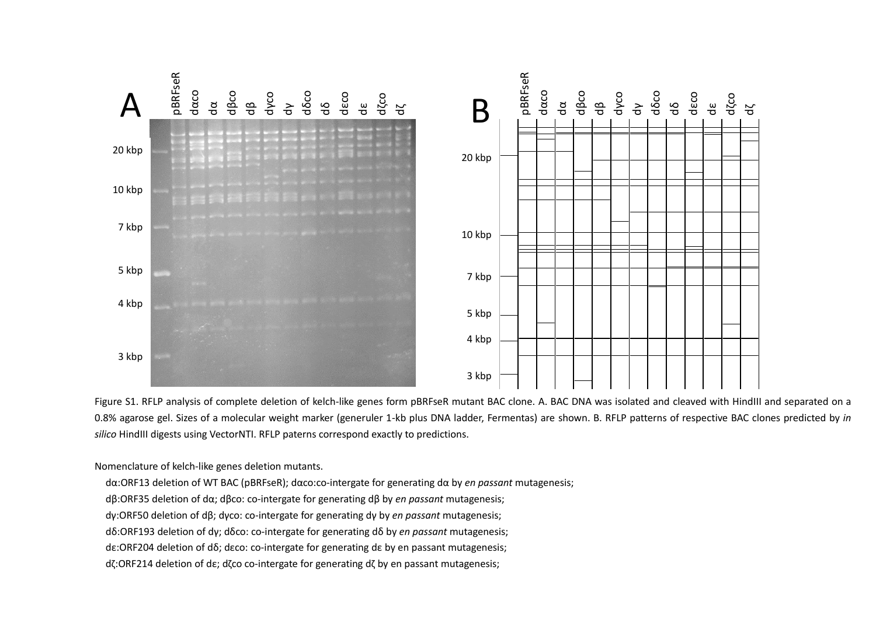

Figure S1. RFLP analysis of complete deletion of kelch-like genes form pBRFseR mutant BAC clone. A. BAC DNA was isolated and cleaved with HindIII and separated on a 0.8% agarose gel. Sizes of a molecular weight marker (generuler 1-kb plus DNA ladder, Fermentas) are shown. B. RFLP patterns of respective BAC clones predicted by *in silico* HindIII digests using VectorNTI. RFLP paterns correspond exactly to predictions.

Nomenclature of kelch-like genes deletion mutants.

dα:ORF13 deletion of WT BAC (pBRFseR); dαco:co-intergate for generating dα by *en passant* mutagenesis;

dβ:ORF35 deletion of dα; dβco: co-intergate for generating dβ by *en passant* mutagenesis;

dγ:ORF50 deletion of dβ; dγco: co-intergate for generating dγ by *en passant* mutagenesis;

dδ:ORF193 deletion of dγ; dδco: co-intergate for generating dδ by *en passant* mutagenesis;

dε:ORF204 deletion of dδ; dεco: co-intergate for generating dε by en passant mutagenesis;

dζ:ORF214 deletion of dε; dζco co-intergate for generating dζ by en passant mutagenesis;